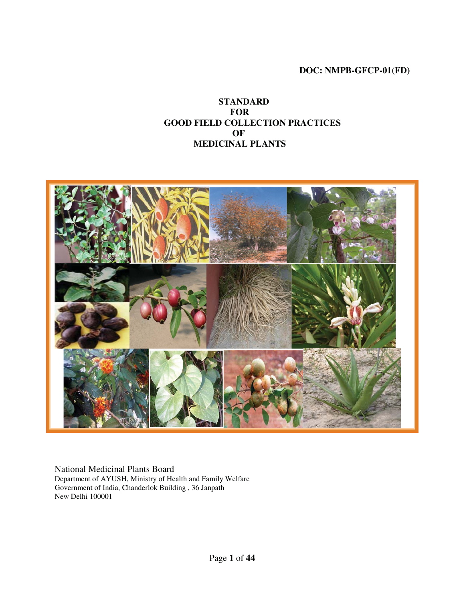## **DOC: NMPB-GFCP-01(FD)**

**STANDARD FOR GOOD FIELD COLLECTION PRACTICES OF MEDICINAL PLANTS**



National Medicinal Plants Board Department of AYUSH, Ministry of Health and Family Welfare Government of India, Chanderlok Building , 36 Janpath New Delhi 100001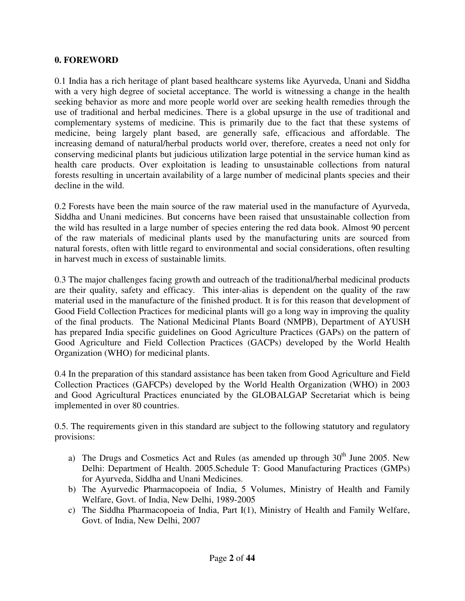## **0. FOREWORD**

0.1 India has a rich heritage of plant based healthcare systems like Ayurveda, Unani and Siddha with a very high degree of societal acceptance. The world is witnessing a change in the health seeking behavior as more and more people world over are seeking health remedies through the use of traditional and herbal medicines. There is a global upsurge in the use of traditional and complementary systems of medicine. This is primarily due to the fact that these systems of medicine, being largely plant based, are generally safe, efficacious and affordable. The increasing demand of natural/herbal products world over, therefore, creates a need not only for conserving medicinal plants but judicious utilization large potential in the service human kind as health care products. Over exploitation is leading to unsustainable collections from natural forests resulting in uncertain availability of a large number of medicinal plants species and their decline in the wild.

0.2 Forests have been the main source of the raw material used in the manufacture of Ayurveda, Siddha and Unani medicines. But concerns have been raised that unsustainable collection from the wild has resulted in a large number of species entering the red data book. Almost 90 percent of the raw materials of medicinal plants used by the manufacturing units are sourced from natural forests, often with little regard to environmental and social considerations, often resulting in harvest much in excess of sustainable limits.

0.3 The major challenges facing growth and outreach of the traditional/herbal medicinal products are their quality, safety and efficacy. This inter-alias is dependent on the quality of the raw material used in the manufacture of the finished product. It is for this reason that development of Good Field Collection Practices for medicinal plants will go a long way in improving the quality of the final products. The National Medicinal Plants Board (NMPB), Department of AYUSH has prepared India specific guidelines on Good Agriculture Practices (GAPs) on the pattern of Good Agriculture and Field Collection Practices (GACPs) developed by the World Health Organization (WHO) for medicinal plants.

0.4 In the preparation of this standard assistance has been taken from Good Agriculture and Field Collection Practices (GAFCPs) developed by the World Health Organization (WHO) in 2003 and Good Agricultural Practices enunciated by the GLOBALGAP Secretariat which is being implemented in over 80 countries.

0.5. The requirements given in this standard are subject to the following statutory and regulatory provisions:

- a) The Drugs and Cosmetics Act and Rules (as amended up through  $30<sup>th</sup>$  June 2005. New Delhi: Department of Health. 2005.Schedule T: Good Manufacturing Practices (GMPs) for Ayurveda, Siddha and Unani Medicines.
- b) The Ayurvedic Pharmacopoeia of India, 5 Volumes, Ministry of Health and Family Welfare, Govt. of India, New Delhi, 1989-2005
- c) The Siddha Pharmacopoeia of India, Part I(1), Ministry of Health and Family Welfare, Govt. of India, New Delhi, 2007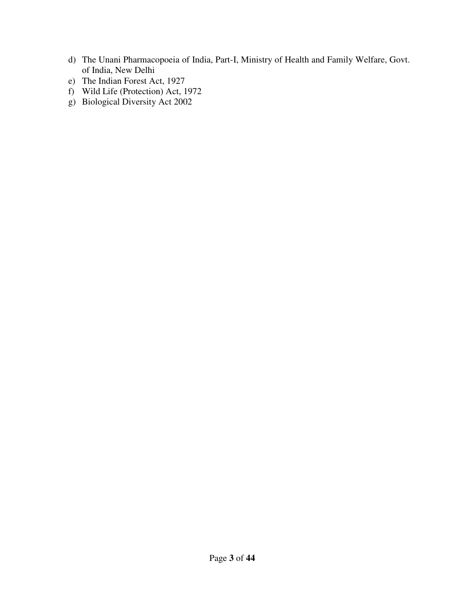- d) The Unani Pharmacopoeia of India, Part-I, Ministry of Health and Family Welfare, Govt. of India, New Delhi
- e) The Indian Forest Act, 1927
- f) Wild Life (Protection) Act, 1972
- g) Biological Diversity Act 2002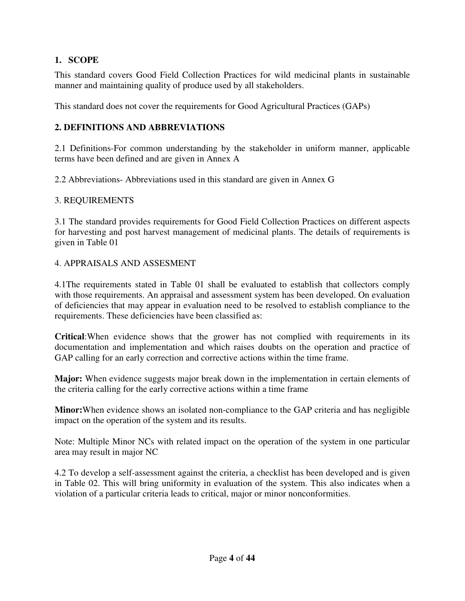# **1. SCOPE**

This standard covers Good Field Collection Practices for wild medicinal plants in sustainable manner and maintaining quality of produce used by all stakeholders.

This standard does not cover the requirements for Good Agricultural Practices (GAPs)

# **2. DEFINITIONS AND ABBREVIATIONS**

2.1 Definitions-For common understanding by the stakeholder in uniform manner, applicable terms have been defined and are given in Annex A

2.2 Abbreviations- Abbreviations used in this standard are given in Annex G

## 3. REQUIREMENTS

3.1 The standard provides requirements for Good Field Collection Practices on different aspects for harvesting and post harvest management of medicinal plants. The details of requirements is given in Table 01

# 4. APPRAISALS AND ASSESMENT

4.1The requirements stated in Table 01 shall be evaluated to establish that collectors comply with those requirements. An appraisal and assessment system has been developed. On evaluation of deficiencies that may appear in evaluation need to be resolved to establish compliance to the requirements. These deficiencies have been classified as:

**Critical**:When evidence shows that the grower has not complied with requirements in its documentation and implementation and which raises doubts on the operation and practice of GAP calling for an early correction and corrective actions within the time frame.

**Major:** When evidence suggests major break down in the implementation in certain elements of the criteria calling for the early corrective actions within a time frame

**Minor:**When evidence shows an isolated non-compliance to the GAP criteria and has negligible impact on the operation of the system and its results.

Note: Multiple Minor NCs with related impact on the operation of the system in one particular area may result in major NC

4.2 To develop a self-assessment against the criteria, a checklist has been developed and is given in Table 02. This will bring uniformity in evaluation of the system. This also indicates when a violation of a particular criteria leads to critical, major or minor nonconformities.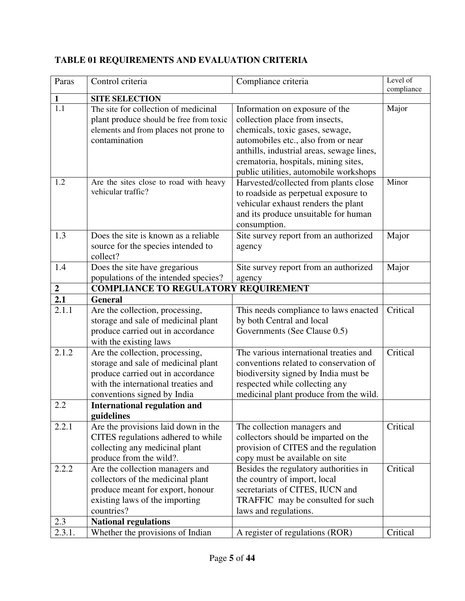| Paras          | Control criteria                                  | Compliance criteria                       | Level of   |
|----------------|---------------------------------------------------|-------------------------------------------|------------|
| $\mathbf{1}$   | <b>SITE SELECTION</b>                             |                                           | compliance |
| 1.1            | The site for collection of medicinal              | Information on exposure of the            | Major      |
|                | plant produce should be free from toxic           | collection place from insects,            |            |
|                | elements and from places not prone to             | chemicals, toxic gases, sewage,           |            |
|                | contamination                                     | automobiles etc., also from or near       |            |
|                |                                                   | anthills, industrial areas, sewage lines, |            |
|                |                                                   | crematoria, hospitals, mining sites,      |            |
|                |                                                   | public utilities, automobile workshops    |            |
| 1.2            | Are the sites close to road with heavy            | Harvested/collected from plants close     | Minor      |
|                | vehicular traffic?                                | to roadside as perpetual exposure to      |            |
|                |                                                   | vehicular exhaust renders the plant       |            |
|                |                                                   | and its produce unsuitable for human      |            |
|                |                                                   | consumption.                              |            |
| 1.3            | Does the site is known as a reliable              | Site survey report from an authorized     | Major      |
|                | source for the species intended to                | agency                                    |            |
|                | collect?                                          |                                           |            |
| 1.4            | Does the site have gregarious                     | Site survey report from an authorized     | Major      |
|                | populations of the intended species?              | agency                                    |            |
| $\overline{2}$ | <b>COMPLIANCE TO REGULATORY REQUIREMENT</b>       |                                           |            |
| 2.1            | <b>General</b>                                    |                                           |            |
| 2.1.1          | Are the collection, processing,                   | This needs compliance to laws enacted     | Critical   |
|                | storage and sale of medicinal plant               | by both Central and local                 |            |
|                | produce carried out in accordance                 | Governments (See Clause 0.5)              |            |
|                | with the existing laws                            |                                           |            |
| 2.1.2          | Are the collection, processing,                   | The various international treaties and    | Critical   |
|                | storage and sale of medicinal plant               | conventions related to conservation of    |            |
|                | produce carried out in accordance                 | biodiversity signed by India must be      |            |
|                | with the international treaties and               | respected while collecting any            |            |
| 2.2            | conventions signed by India                       | medicinal plant produce from the wild.    |            |
|                | <b>International regulation and</b><br>guidelines |                                           |            |
| 2.2.1          | Are the provisions laid down in the               | The collection managers and               | Critical   |
|                | CITES regulations adhered to while                | collectors should be imparted on the      |            |
|                | collecting any medicinal plant                    | provision of CITES and the regulation     |            |
|                | produce from the wild?.                           | copy must be available on site            |            |
| 2.2.2          | Are the collection managers and                   | Besides the regulatory authorities in     | Critical   |
|                | collectors of the medicinal plant                 | the country of import, local              |            |
|                | produce meant for export, honour                  | secretariats of CITES, IUCN and           |            |
|                | existing laws of the importing                    | TRAFFIC may be consulted for such         |            |
|                | countries?                                        | laws and regulations.                     |            |
| 2.3            | <b>National regulations</b>                       |                                           |            |
| 2.3.1.         | Whether the provisions of Indian                  | A register of regulations (ROR)           | Critical   |

# **TABLE 01 REQUIREMENTS AND EVALUATION CRITERIA**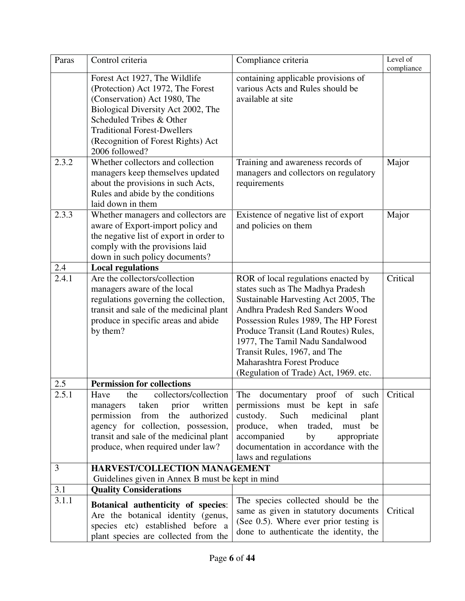| Paras | Control criteria                                                                                                                                                                                                                                                   | Compliance criteria                                                                                                                                                                                                                                                                                                                                                           | Level of   |
|-------|--------------------------------------------------------------------------------------------------------------------------------------------------------------------------------------------------------------------------------------------------------------------|-------------------------------------------------------------------------------------------------------------------------------------------------------------------------------------------------------------------------------------------------------------------------------------------------------------------------------------------------------------------------------|------------|
|       | Forest Act 1927, The Wildlife<br>(Protection) Act 1972, The Forest<br>(Conservation) Act 1980, The<br>Biological Diversity Act 2002, The<br>Scheduled Tribes & Other<br><b>Traditional Forest-Dwellers</b><br>(Recognition of Forest Rights) Act<br>2006 followed? | containing applicable provisions of<br>various Acts and Rules should be<br>available at site                                                                                                                                                                                                                                                                                  | compliance |
| 2.3.2 | Whether collectors and collection<br>managers keep themselves updated<br>about the provisions in such Acts,<br>Rules and abide by the conditions<br>laid down in them                                                                                              | Training and awareness records of<br>managers and collectors on regulatory<br>requirements                                                                                                                                                                                                                                                                                    | Major      |
| 2.3.3 | Whether managers and collectors are<br>aware of Export-import policy and<br>the negative list of export in order to<br>comply with the provisions laid<br>down in such policy documents?                                                                           | Existence of negative list of export<br>and policies on them                                                                                                                                                                                                                                                                                                                  | Major      |
| 2.4   | <b>Local regulations</b>                                                                                                                                                                                                                                           |                                                                                                                                                                                                                                                                                                                                                                               |            |
| 2.4.1 | Are the collectors/collection<br>managers aware of the local<br>regulations governing the collection,<br>transit and sale of the medicinal plant<br>produce in specific areas and abide<br>by them?                                                                | ROR of local regulations enacted by<br>states such as The Madhya Pradesh<br>Sustainable Harvesting Act 2005, The<br>Andhra Pradesh Red Sanders Wood<br>Possession Rules 1989, The HP Forest<br>Produce Transit (Land Routes) Rules,<br>1977, The Tamil Nadu Sandalwood<br>Transit Rules, 1967, and The<br>Maharashtra Forest Produce<br>(Regulation of Trade) Act, 1969. etc. | Critical   |
| 2.5   | <b>Permission for collections</b>                                                                                                                                                                                                                                  |                                                                                                                                                                                                                                                                                                                                                                               |            |
| 2.5.1 | the collectors/collection<br>Have<br>prior<br>written<br>taken<br>managers<br>permission<br>from<br>the<br>authorized<br>agency for collection, possession,<br>transit and sale of the medicinal plant<br>produce, when required under law?                        | The documentary proof of such Critical<br>permissions must be kept in safe<br>Such<br>custody.<br>medicinal<br>plant<br>produce, when traded,<br>must be<br>accompanied<br>appropriate<br>by<br>documentation in accordance with the<br>laws and regulations                                                                                                                  |            |
| 3     | HARVEST/COLLECTION MANAGEMENT                                                                                                                                                                                                                                      |                                                                                                                                                                                                                                                                                                                                                                               |            |
|       | Guidelines given in Annex B must be kept in mind                                                                                                                                                                                                                   |                                                                                                                                                                                                                                                                                                                                                                               |            |
| 3.1   | <b>Quality Considerations</b>                                                                                                                                                                                                                                      |                                                                                                                                                                                                                                                                                                                                                                               |            |
| 3.1.1 | Botanical authenticity of species:<br>Are the botanical identity (genus,<br>species etc) established before a<br>plant species are collected from the                                                                                                              | The species collected should be the<br>same as given in statutory documents<br>(See 0.5). Where ever prior testing is<br>done to authenticate the identity, the                                                                                                                                                                                                               | Critical   |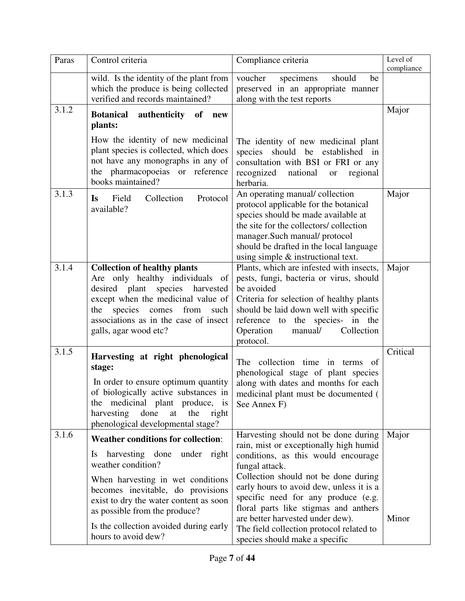| Paras | Control criteria                                                                                                                                                                                                                                                                                                              | Compliance criteria                                                                                                                                                                                                                                                                                                                                                                                                           | Level of       |
|-------|-------------------------------------------------------------------------------------------------------------------------------------------------------------------------------------------------------------------------------------------------------------------------------------------------------------------------------|-------------------------------------------------------------------------------------------------------------------------------------------------------------------------------------------------------------------------------------------------------------------------------------------------------------------------------------------------------------------------------------------------------------------------------|----------------|
|       | wild. Is the identity of the plant from<br>which the produce is being collected<br>verified and records maintained?                                                                                                                                                                                                           | voucher<br>specimens<br>should<br>be<br>preserved in an appropriate manner<br>along with the test reports                                                                                                                                                                                                                                                                                                                     | compliance     |
| 3.1.2 | authenticity of<br><b>Botanical</b><br>new<br>plants:                                                                                                                                                                                                                                                                         |                                                                                                                                                                                                                                                                                                                                                                                                                               | Major          |
|       | How the identity of new medicinal<br>plant species is collected, which does<br>not have any monographs in any of<br>the pharmacopoeias or reference<br>books maintained?                                                                                                                                                      | The identity of new medicinal plant<br>species should be established in<br>consultation with BSI or FRI or any<br>recognized<br>national<br>regional<br><b>or</b><br>herbaria.                                                                                                                                                                                                                                                |                |
| 3.1.3 | Collection<br>Field<br>Protocol<br>Is<br>available?                                                                                                                                                                                                                                                                           | An operating manual/collection<br>protocol applicable for the botanical<br>species should be made available at<br>the site for the collectors/collection<br>manager.Such manual/ protocol<br>should be drafted in the local language<br>using simple $\&$ instructional text.                                                                                                                                                 | Major          |
| 3.1.4 | <b>Collection of healthy plants</b><br>Are only healthy individuals of<br>desired plant species harvested<br>except when the medicinal value of<br>species<br>from<br>the<br>comes<br>such<br>associations as in the case of insect<br>galls, agar wood etc?                                                                  | Plants, which are infested with insects,<br>pests, fungi, bacteria or virus, should<br>be avoided<br>Criteria for selection of healthy plants<br>should be laid down well with specific<br>reference to the species- in the<br>Operation<br>Collection<br>manual/<br>protocol.                                                                                                                                                | Major          |
| 3.1.5 | Harvesting at right phenological<br>stage:<br>In order to ensure optimum quantity<br>the medicinal plant produce, is<br>harvesting<br>done<br>at<br>the<br>right<br>phenological developmental stage?                                                                                                                         | The collection time in terms of<br>phenological stage of plant species<br>along with dates and months for each<br>of biologically active substances in   medicinal plant must be documented (<br>See Annex F)                                                                                                                                                                                                                 | Critical       |
| 3.1.6 | <b>Weather conditions for collection:</b><br>harvesting done<br>under right<br>Is<br>weather condition?<br>When harvesting in wet conditions<br>becomes inevitable, do provisions<br>exist to dry the water content as soon<br>as possible from the produce?<br>Is the collection avoided during early<br>hours to avoid dew? | Harvesting should not be done during<br>rain, mist or exceptionally high humid<br>conditions, as this would encourage<br>fungal attack.<br>Collection should not be done during<br>early hours to avoid dew, unless it is a<br>specific need for any produce (e.g.<br>floral parts like stigmas and anthers<br>are better harvested under dew).<br>The field collection protocol related to<br>species should make a specific | Major<br>Minor |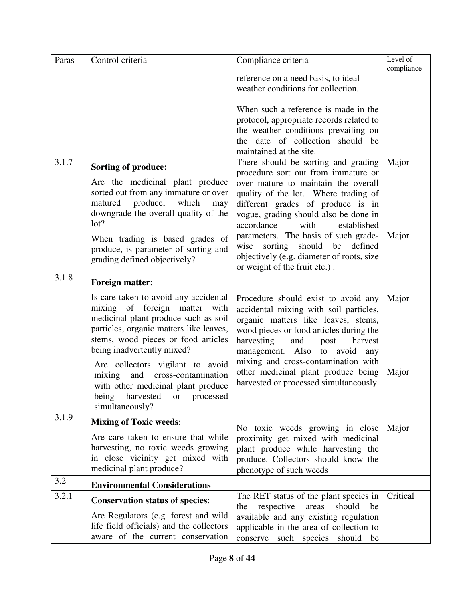| Paras | Control criteria                                                                                                                                                                                                                                                                                                                                                                                             | Compliance criteria                                                                                                                                                                                                                                                                                                                                                | Level of<br>compliance |
|-------|--------------------------------------------------------------------------------------------------------------------------------------------------------------------------------------------------------------------------------------------------------------------------------------------------------------------------------------------------------------------------------------------------------------|--------------------------------------------------------------------------------------------------------------------------------------------------------------------------------------------------------------------------------------------------------------------------------------------------------------------------------------------------------------------|------------------------|
|       |                                                                                                                                                                                                                                                                                                                                                                                                              | reference on a need basis, to ideal<br>weather conditions for collection.                                                                                                                                                                                                                                                                                          |                        |
| 3.1.7 | <b>Sorting of produce:</b>                                                                                                                                                                                                                                                                                                                                                                                   | When such a reference is made in the<br>protocol, appropriate records related to<br>the weather conditions prevailing on<br>the date of collection should be<br>maintained at the site.<br>There should be sorting and grading<br>procedure sort out from immature or                                                                                              | Major                  |
|       | Are the medicinal plant produce<br>sorted out from any immature or over<br>matured produce, which<br>may<br>downgrade the overall quality of the<br>lot?<br>When trading is based grades of<br>produce, is parameter of sorting and<br>grading defined objectively?                                                                                                                                          | over mature to maintain the overall<br>quality of the lot. Where trading of<br>different grades of produce is in<br>vogue, grading should also be done in<br>with<br>accordance<br>established<br>parameters. The basis of such grade-<br>should<br>defined<br>wise<br>sorting<br>be<br>objectively (e.g. diameter of roots, size<br>or weight of the fruit etc.). | Major                  |
| 3.1.8 | Foreign matter:                                                                                                                                                                                                                                                                                                                                                                                              |                                                                                                                                                                                                                                                                                                                                                                    |                        |
|       | Is care taken to avoid any accidental<br>mixing of foreign matter<br>with<br>medicinal plant produce such as soil<br>particles, organic matters like leaves,<br>stems, wood pieces or food articles<br>being inadvertently mixed?<br>Are collectors vigilant to avoid<br>and cross-contamination<br>mixing<br>with other medicinal plant produce<br>being<br>harvested<br>processed<br>or<br>simultaneously? | Procedure should exist to avoid any<br>accidental mixing with soil particles,<br>organic matters like leaves, stems,<br>wood pieces or food articles during the<br>harvesting<br>and<br>post<br>harvest<br>management. Also to avoid<br>any<br>mixing and cross-contamination with<br>other medicinal plant produce being<br>harvested or processed simultaneously | Major<br>Major         |
| 3.1.9 | <b>Mixing of Toxic weeds:</b>                                                                                                                                                                                                                                                                                                                                                                                | No toxic weeds growing in close                                                                                                                                                                                                                                                                                                                                    | Major                  |
|       | Are care taken to ensure that while<br>harvesting, no toxic weeds growing<br>in close vicinity get mixed with<br>medicinal plant produce?                                                                                                                                                                                                                                                                    | proximity get mixed with medicinal<br>plant produce while harvesting the<br>produce. Collectors should know the<br>phenotype of such weeds                                                                                                                                                                                                                         |                        |
| 3.2   | <b>Environmental Considerations</b>                                                                                                                                                                                                                                                                                                                                                                          |                                                                                                                                                                                                                                                                                                                                                                    |                        |
| 3.2.1 | <b>Conservation status of species:</b><br>Are Regulators (e.g. forest and wild<br>life field officials) and the collectors<br>aware of the current conservation                                                                                                                                                                                                                                              | The RET status of the plant species in<br>respective<br>should<br>the<br>areas<br>be<br>available and any existing regulation<br>applicable in the area of collection to<br>conserve such species should be                                                                                                                                                        | Critical               |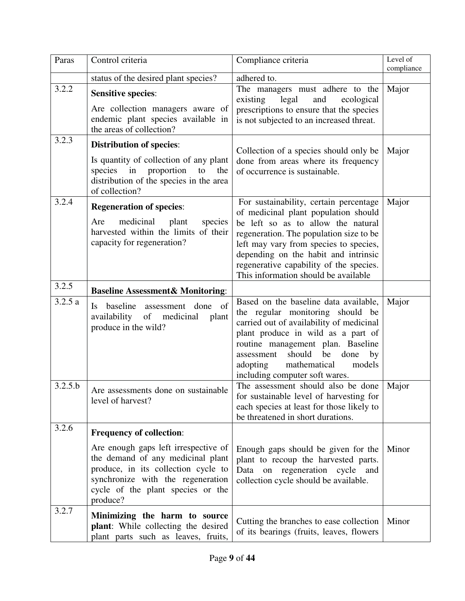| Paras   | Control criteria                                                                                                                                                                                       | Compliance criteria                                                                                                                                                                                                                                                                                                                  | Level of   |
|---------|--------------------------------------------------------------------------------------------------------------------------------------------------------------------------------------------------------|--------------------------------------------------------------------------------------------------------------------------------------------------------------------------------------------------------------------------------------------------------------------------------------------------------------------------------------|------------|
|         | status of the desired plant species?                                                                                                                                                                   | adhered to.                                                                                                                                                                                                                                                                                                                          | compliance |
| 3.2.2   | <b>Sensitive species:</b><br>Are collection managers aware of<br>endemic plant species available in<br>the areas of collection?                                                                        | The managers must adhere to the<br>existing<br>legal<br>and<br>ecological<br>prescriptions to ensure that the species<br>is not subjected to an increased threat.                                                                                                                                                                    | Major      |
| 3.2.3   | <b>Distribution of species:</b><br>Is quantity of collection of any plant<br>species in proportion<br>to<br>the<br>distribution of the species in the area<br>of collection?                           | Collection of a species should only be<br>done from areas where its frequency<br>of occurrence is sustainable.                                                                                                                                                                                                                       | Major      |
| 3.2.4   | <b>Regeneration of species:</b><br>medicinal<br>plant<br>Are<br>species<br>harvested within the limits of their<br>capacity for regeneration?                                                          | For sustainability, certain percentage<br>of medicinal plant population should<br>be left so as to allow the natural<br>regeneration. The population size to be<br>left may vary from species to species,<br>depending on the habit and intrinsic<br>regenerative capability of the species.<br>This information should be available | Major      |
| 3.2.5   | <b>Baseline Assessment&amp; Monitoring:</b>                                                                                                                                                            |                                                                                                                                                                                                                                                                                                                                      |            |
| 3.2.5a  | baseline<br>assessment done of<br>$\mathbf{I}$ s<br>availability of medicinal<br>plant<br>produce in the wild?                                                                                         | Based on the baseline data available,<br>the regular monitoring should be<br>carried out of availability of medicinal<br>plant produce in wild as a part of<br>routine management plan. Baseline<br>should<br>done<br>be<br>assessment<br>by<br>mathematical<br>adopting<br>models<br>including computer soft wares.                 | Major      |
| 3.2.5.b | Are assessments done on sustainable<br>level of harvest?                                                                                                                                               | The assessment should also be done<br>for sustainable level of harvesting for<br>each species at least for those likely to<br>be threatened in short durations.                                                                                                                                                                      | Major      |
| 3.2.6   | <b>Frequency of collection:</b>                                                                                                                                                                        |                                                                                                                                                                                                                                                                                                                                      |            |
|         | Are enough gaps left irrespective of<br>the demand of any medicinal plant<br>produce, in its collection cycle to<br>synchronize with the regeneration<br>cycle of the plant species or the<br>produce? | Enough gaps should be given for the<br>plant to recoup the harvested parts.<br>Data on<br>regeneration<br>cycle<br>and<br>collection cycle should be available.                                                                                                                                                                      | Minor      |
| 3.2.7   | Minimizing the harm to source<br>plant: While collecting the desired<br>plant parts such as leaves, fruits,                                                                                            | Cutting the branches to ease collection<br>of its bearings (fruits, leaves, flowers                                                                                                                                                                                                                                                  | Minor      |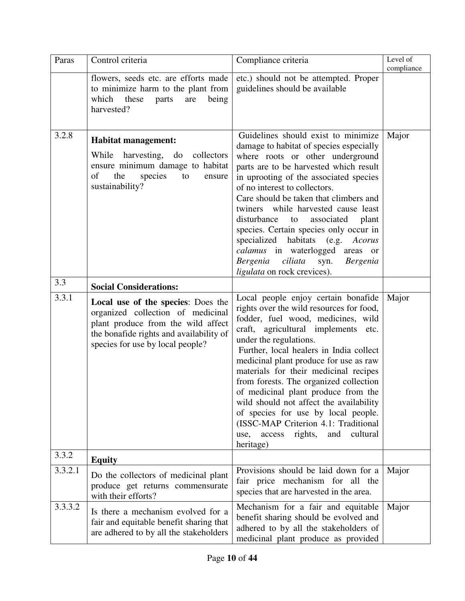| Paras   | Control criteria                                                                                                                                                                             | Compliance criteria                                                                                                                                                                                                                                                                                                                                                                                                                                                                                                                                                                       | Level of   |
|---------|----------------------------------------------------------------------------------------------------------------------------------------------------------------------------------------------|-------------------------------------------------------------------------------------------------------------------------------------------------------------------------------------------------------------------------------------------------------------------------------------------------------------------------------------------------------------------------------------------------------------------------------------------------------------------------------------------------------------------------------------------------------------------------------------------|------------|
|         | flowers, seeds etc. are efforts made<br>to minimize harm to the plant from<br>which<br>these<br>being<br>parts<br>are<br>harvested?                                                          | etc.) should not be attempted. Proper<br>guidelines should be available                                                                                                                                                                                                                                                                                                                                                                                                                                                                                                                   | compliance |
| 3.2.8   | <b>Habitat management:</b><br>While<br>collectors<br>harvesting,<br>do<br>ensure minimum damage to habitat<br>of<br>the<br>species<br>to<br>ensure<br>sustainability?                        | Guidelines should exist to minimize<br>damage to habitat of species especially<br>where roots or other underground<br>parts are to be harvested which result<br>in uprooting of the associated species<br>of no interest to collectors.<br>Care should be taken that climbers and<br>twiners while harvested cause least<br>disturbance<br>associated<br>to<br>plant<br>species. Certain species only occur in<br>specialized habitats (e.g. Acorus<br>calamus in waterlogged areas or<br>Bergenia<br>ciliata<br><b>Bergenia</b><br>syn.<br><i>ligulata</i> on rock crevices).            | Major      |
| 3.3     | <b>Social Considerations:</b>                                                                                                                                                                |                                                                                                                                                                                                                                                                                                                                                                                                                                                                                                                                                                                           |            |
| 3.3.1   | Local use of the species: Does the<br>organized collection of medicinal<br>plant produce from the wild affect<br>the bonafide rights and availability of<br>species for use by local people? | Local people enjoy certain bonafide<br>rights over the wild resources for food,<br>fodder, fuel wood, medicines, wild<br>craft, agricultural implements etc.<br>under the regulations.<br>Further, local healers in India collect<br>medicinal plant produce for use as raw<br>materials for their medicinal recipes<br>from forests. The organized collection<br>of medicinal plant produce from the<br>wild should not affect the availability<br>of species for use by local people.<br>(ISSC-MAP Criterion 4.1: Traditional<br>cultural<br>rights,<br>and<br>use, access<br>heritage) | Major      |
| 3.3.2   | <b>Equity</b>                                                                                                                                                                                |                                                                                                                                                                                                                                                                                                                                                                                                                                                                                                                                                                                           |            |
| 3.3.2.1 | Do the collectors of medicinal plant<br>produce get returns commensurate<br>with their efforts?                                                                                              | Provisions should be laid down for a<br>fair price mechanism for all the<br>species that are harvested in the area.                                                                                                                                                                                                                                                                                                                                                                                                                                                                       | Major      |
| 3.3.3.2 | Is there a mechanism evolved for a<br>fair and equitable benefit sharing that<br>are adhered to by all the stakeholders                                                                      | Mechanism for a fair and equitable<br>benefit sharing should be evolved and<br>adhered to by all the stakeholders of<br>medicinal plant produce as provided                                                                                                                                                                                                                                                                                                                                                                                                                               | Major      |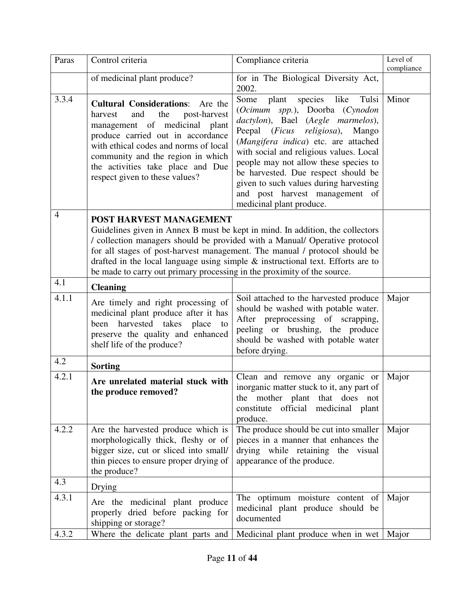| Paras | Control criteria                                                                                                                                                                                                                                                                                            | Compliance criteria                                                                                                                                                                                                                                                                                                                                                                                                                        | Level of<br>compliance |
|-------|-------------------------------------------------------------------------------------------------------------------------------------------------------------------------------------------------------------------------------------------------------------------------------------------------------------|--------------------------------------------------------------------------------------------------------------------------------------------------------------------------------------------------------------------------------------------------------------------------------------------------------------------------------------------------------------------------------------------------------------------------------------------|------------------------|
|       | of medicinal plant produce?                                                                                                                                                                                                                                                                                 | for in The Biological Diversity Act,<br>2002.                                                                                                                                                                                                                                                                                                                                                                                              |                        |
| 3.3.4 | <b>Cultural Considerations:</b> Are the<br>the<br>post-harvest<br>harvest<br>and<br>management of medicinal plant<br>produce carried out in accordance<br>with ethical codes and norms of local<br>community and the region in which<br>the activities take place and Due<br>respect given to these values? | like<br>Tulsi<br>Some<br>plant<br>species<br>(Ocimum spp.), Doorba (Cynodon<br>dactylon), Bael (Aegle marmelos),<br>Peepal ( <i>Ficus religiosa</i> ),<br>Mango<br>(Mangifera indica) etc. are attached<br>with social and religious values. Local<br>people may not allow these species to<br>be harvested. Due respect should be<br>given to such values during harvesting<br>and post harvest management of<br>medicinal plant produce. | Minor                  |
| 4     | POST HARVEST MANAGEMENT<br>be made to carry out primary processing in the proximity of the source.                                                                                                                                                                                                          | Guidelines given in Annex B must be kept in mind. In addition, the collectors<br>/ collection managers should be provided with a Manual/ Operative protocol<br>for all stages of post-harvest management. The manual / protocol should be<br>drafted in the local language using simple $\&$ instructional text. Efforts are to                                                                                                            |                        |
| 4.1   | <b>Cleaning</b>                                                                                                                                                                                                                                                                                             |                                                                                                                                                                                                                                                                                                                                                                                                                                            |                        |
| 4.1.1 | Are timely and right processing of<br>medicinal plant produce after it has<br>harvested takes place<br>been<br>to<br>preserve the quality and enhanced<br>shelf life of the produce?                                                                                                                        | Soil attached to the harvested produce<br>should be washed with potable water.<br>After preprocessing of scrapping,<br>peeling or brushing, the produce<br>should be washed with potable water<br>before drying.                                                                                                                                                                                                                           | Major                  |
| 4.2   | <b>Sorting</b>                                                                                                                                                                                                                                                                                              |                                                                                                                                                                                                                                                                                                                                                                                                                                            |                        |
| 4.2.1 | Are unrelated material stuck with<br>the produce removed?                                                                                                                                                                                                                                                   | Clean and remove any organic or<br>inorganic matter stuck to it, any part of<br>the mother plant that does not<br>constitute official medicinal plant<br>produce.                                                                                                                                                                                                                                                                          | Major                  |
| 4.2.2 | Are the harvested produce which is<br>morphologically thick, fleshy or of<br>bigger size, cut or sliced into small/<br>thin pieces to ensure proper drying of<br>the produce?                                                                                                                               | The produce should be cut into smaller<br>pieces in a manner that enhances the<br>drying while retaining the visual<br>appearance of the produce.                                                                                                                                                                                                                                                                                          | Major                  |
| 4.3   | Drying                                                                                                                                                                                                                                                                                                      |                                                                                                                                                                                                                                                                                                                                                                                                                                            |                        |
| 4.3.1 | Are the medicinal plant produce<br>properly dried before packing for<br>shipping or storage?                                                                                                                                                                                                                | The optimum moisture content of<br>medicinal plant produce should be<br>documented                                                                                                                                                                                                                                                                                                                                                         | Major                  |
| 4.3.2 | Where the delicate plant parts and                                                                                                                                                                                                                                                                          | Medicinal plant produce when in wet   Major                                                                                                                                                                                                                                                                                                                                                                                                |                        |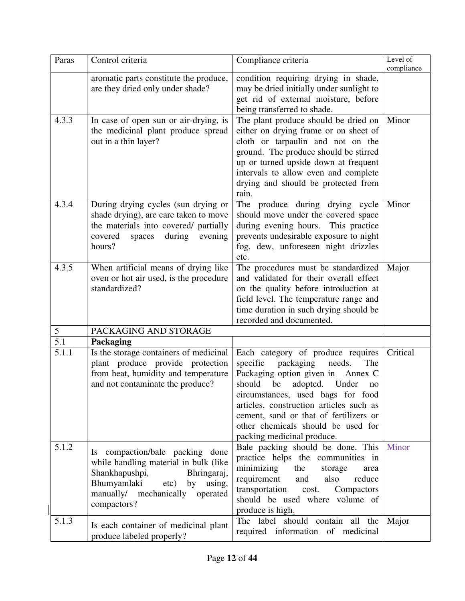| Paras | Control criteria                                                                                                                                                                                   | Compliance criteria                                                                                                                                                                                                                                                                                                                                 | Level of<br>compliance |
|-------|----------------------------------------------------------------------------------------------------------------------------------------------------------------------------------------------------|-----------------------------------------------------------------------------------------------------------------------------------------------------------------------------------------------------------------------------------------------------------------------------------------------------------------------------------------------------|------------------------|
|       | aromatic parts constitute the produce,<br>are they dried only under shade?                                                                                                                         | condition requiring drying in shade,<br>may be dried initially under sunlight to<br>get rid of external moisture, before<br>being transferred to shade.                                                                                                                                                                                             |                        |
| 4.3.3 | In case of open sun or air-drying, is<br>the medicinal plant produce spread<br>out in a thin layer?                                                                                                | The plant produce should be dried on<br>either on drying frame or on sheet of<br>cloth or tarpaulin and not on the<br>ground. The produce should be stirred<br>up or turned upside down at frequent<br>intervals to allow even and complete<br>drying and should be protected from<br>rain.                                                         | Minor                  |
| 4.3.4 | During drying cycles (sun drying or<br>shade drying), are care taken to move<br>the materials into covered/ partially<br>covered<br>spaces<br>during<br>evening<br>hours?                          | The produce during drying cycle<br>should move under the covered space<br>during evening hours. This practice<br>prevents undesirable exposure to night<br>fog, dew, unforeseen night drizzles<br>etc.                                                                                                                                              | Minor                  |
| 4.3.5 | When artificial means of drying like<br>oven or hot air used, is the procedure<br>standardized?                                                                                                    | The procedures must be standardized<br>and validated for their overall effect<br>on the quality before introduction at<br>field level. The temperature range and<br>time duration in such drying should be<br>recorded and documented.                                                                                                              | Major                  |
| 5     | PACKAGING AND STORAGE                                                                                                                                                                              |                                                                                                                                                                                                                                                                                                                                                     |                        |
| 5.1   | Packaging                                                                                                                                                                                          |                                                                                                                                                                                                                                                                                                                                                     |                        |
| 5.1.1 | Is the storage containers of medicinal<br>plant produce provide protection<br>from heat, humidity and temperature<br>and not contaminate the produce?                                              | Each category of produce requires<br>specific<br>packaging<br>needs.<br>The<br>Packaging option given in Annex C<br>should be<br>adopted. Under<br>no<br>circumstances, used bags for food<br>articles, construction articles such as<br>cement, sand or that of fertilizers or<br>other chemicals should be used for<br>packing medicinal produce. | Critical               |
| 5.1.2 | Is compaction/bale packing done<br>while handling material in bulk (like<br>Shankhapushpi,<br>Bhringaraj,<br>Bhumyamlaki<br>etc)<br>using,<br>by<br>manually/ mechanically operated<br>compactors? | Bale packing should be done. This<br>practice helps the communities in<br>minimizing<br>the<br>storage<br>area<br>requirement<br>reduce<br>and<br>also<br>transportation<br>Compactors<br>cost.<br>should be used where volume of<br>produce is high.                                                                                               | <b>Minor</b>           |
| 5.1.3 | Is each container of medicinal plant<br>produce labeled properly?                                                                                                                                  | The label should contain all the<br>required information of medicinal                                                                                                                                                                                                                                                                               | Major                  |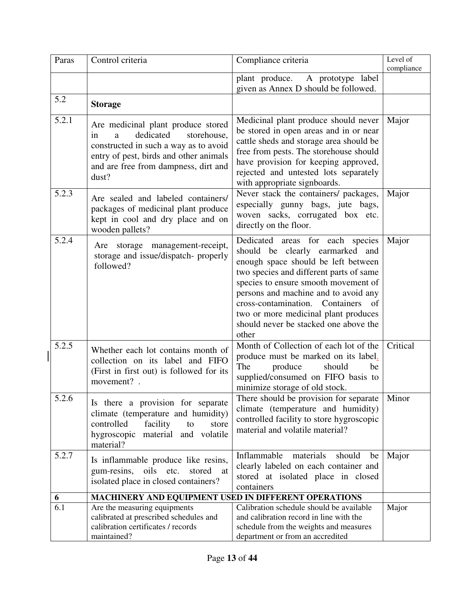| Paras | Control criteria                                                                                                                                                                                              | Compliance criteria                                                                                                                                                                                                                                                                                                                                                        | Level of<br>compliance |
|-------|---------------------------------------------------------------------------------------------------------------------------------------------------------------------------------------------------------------|----------------------------------------------------------------------------------------------------------------------------------------------------------------------------------------------------------------------------------------------------------------------------------------------------------------------------------------------------------------------------|------------------------|
|       |                                                                                                                                                                                                               | plant produce. A prototype label<br>given as Annex D should be followed.                                                                                                                                                                                                                                                                                                   |                        |
| 5.2   | <b>Storage</b>                                                                                                                                                                                                |                                                                                                                                                                                                                                                                                                                                                                            |                        |
| 5.2.1 | Are medicinal plant produce stored<br>dedicated<br>storehouse,<br>in<br>a<br>constructed in such a way as to avoid<br>entry of pest, birds and other animals<br>and are free from dampness, dirt and<br>dust? | Medicinal plant produce should never<br>be stored in open areas and in or near<br>cattle sheds and storage area should be<br>free from pests. The storehouse should<br>have provision for keeping approved,<br>rejected and untested lots separately<br>with appropriate signboards.                                                                                       | Major                  |
| 5.2.3 | Are sealed and labeled containers/<br>packages of medicinal plant produce<br>kept in cool and dry place and on<br>wooden pallets?                                                                             | Never stack the containers/ packages,<br>especially gunny bags, jute bags,<br>woven sacks, corrugated box etc.<br>directly on the floor.                                                                                                                                                                                                                                   | Major                  |
| 5.2.4 | Are storage management-receipt,<br>storage and issue/dispatch- properly<br>followed?                                                                                                                          | Dedicated areas for each species<br>should be clearly earmarked and<br>enough space should be left between<br>two species and different parts of same<br>species to ensure smooth movement of<br>persons and machine and to avoid any<br>cross-contamination. Containers<br>- of<br>two or more medicinal plant produces<br>should never be stacked one above the<br>other | Major                  |
| 5.2.5 | Whether each lot contains month of<br>collection on its label and FIFO<br>(First in first out) is followed for its<br>movement?.                                                                              | Month of Collection of each lot of the<br>produce must be marked on its label.<br>The<br>produce<br>should<br>be<br>supplied/consumed on FIFO basis to<br>minimize storage of old stock.                                                                                                                                                                                   | Critical               |
| 5.2.6 | Is there a provision for separate<br>climate (temperature and humidity)<br>facility<br>controlled<br>to<br>store<br>hygroscopic<br>material and volatile<br>material?                                         | There should be provision for separate<br>climate (temperature and humidity)<br>controlled facility to store hygroscopic<br>material and volatile material?                                                                                                                                                                                                                | Minor                  |
| 5.2.7 | Is inflammable produce like resins,<br>gum-resins, oils etc.<br>stored<br>at<br>isolated place in closed containers?                                                                                          | Inflammable<br>should<br>materials<br>be<br>clearly labeled on each container and<br>stored at isolated place in closed<br>containers                                                                                                                                                                                                                                      | Major                  |
| 6     | MACHINERY AND EQUIPMENT USED IN DIFFERENT OPERATIONS                                                                                                                                                          |                                                                                                                                                                                                                                                                                                                                                                            |                        |
| 6.1   | Are the measuring equipments<br>calibrated at prescribed schedules and<br>calibration certificates / records<br>maintained?                                                                                   | Calibration schedule should be available<br>and calibration record in line with the<br>schedule from the weights and measures<br>department or from an accredited                                                                                                                                                                                                          | Major                  |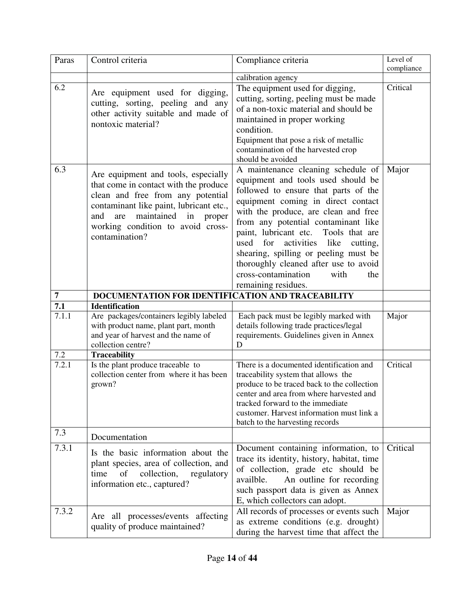| Paras          | Control criteria                                                                                                                                                                                                                                             | Compliance criteria                                                                                                                                                                                                                                                                                                                                                                                                                                 | Level of   |
|----------------|--------------------------------------------------------------------------------------------------------------------------------------------------------------------------------------------------------------------------------------------------------------|-----------------------------------------------------------------------------------------------------------------------------------------------------------------------------------------------------------------------------------------------------------------------------------------------------------------------------------------------------------------------------------------------------------------------------------------------------|------------|
|                |                                                                                                                                                                                                                                                              |                                                                                                                                                                                                                                                                                                                                                                                                                                                     | compliance |
| 6.2            | Are equipment used for digging,<br>cutting, sorting, peeling and any                                                                                                                                                                                         | calibration agency<br>The equipment used for digging,<br>cutting, sorting, peeling must be made                                                                                                                                                                                                                                                                                                                                                     | Critical   |
|                | other activity suitable and made of<br>nontoxic material?                                                                                                                                                                                                    | of a non-toxic material and should be<br>maintained in proper working<br>condition.                                                                                                                                                                                                                                                                                                                                                                 |            |
|                |                                                                                                                                                                                                                                                              | Equipment that pose a risk of metallic<br>contamination of the harvested crop<br>should be avoided                                                                                                                                                                                                                                                                                                                                                  |            |
| 6.3            | Are equipment and tools, especially<br>that come in contact with the produce<br>clean and free from any potential<br>contaminant like paint, lubricant etc.,<br>maintained in<br>and<br>are<br>proper<br>working condition to avoid cross-<br>contamination? | A maintenance cleaning schedule of<br>equipment and tools used should be<br>followed to ensure that parts of the<br>equipment coming in direct contact<br>with the produce, are clean and free<br>from any potential contaminant like<br>paint, lubricant etc. Tools that are<br>used<br>for<br>activities like<br>cutting,<br>shearing, spilling or peeling must be<br>thoroughly cleaned after use to avoid<br>cross-contamination<br>with<br>the | Major      |
| $\overline{7}$ | DOCUMENTATION FOR IDENTIFICATION AND TRACEABILITY                                                                                                                                                                                                            | remaining residues.                                                                                                                                                                                                                                                                                                                                                                                                                                 |            |
| 7.1            | <b>Identification</b>                                                                                                                                                                                                                                        |                                                                                                                                                                                                                                                                                                                                                                                                                                                     |            |
| 7.1.1          | Are packages/containers legibly labeled<br>with product name, plant part, month<br>and year of harvest and the name of<br>collection centre?                                                                                                                 | Each pack must be legibly marked with<br>details following trade practices/legal<br>requirements. Guidelines given in Annex<br>D                                                                                                                                                                                                                                                                                                                    | Major      |
| 7.2            | <b>Traceability</b>                                                                                                                                                                                                                                          |                                                                                                                                                                                                                                                                                                                                                                                                                                                     |            |
| 7.2.1          | Is the plant produce traceable to<br>collection center from where it has been<br>grown?                                                                                                                                                                      | There is a documented identification and<br>traceability system that allows the<br>produce to be traced back to the collection<br>center and area from where harvested and<br>tracked forward to the immediate<br>customer. Harvest information must link a<br>batch to the harvesting records                                                                                                                                                      | Critical   |
| 7.3            | Documentation                                                                                                                                                                                                                                                |                                                                                                                                                                                                                                                                                                                                                                                                                                                     |            |
| 7.3.1          | Is the basic information about the<br>plant species, area of collection, and<br>collection,<br>regulatory<br>time<br>of<br>information etc., captured?                                                                                                       | Document containing information, to<br>trace its identity, history, habitat, time<br>of collection, grade etc should be<br>An outline for recording<br>availble.<br>such passport data is given as Annex<br>E, which collectors can adopt.                                                                                                                                                                                                          | Critical   |
| 7.3.2          | Are all processes/events affecting<br>quality of produce maintained?                                                                                                                                                                                         | All records of processes or events such<br>as extreme conditions (e.g. drought)<br>during the harvest time that affect the                                                                                                                                                                                                                                                                                                                          | Major      |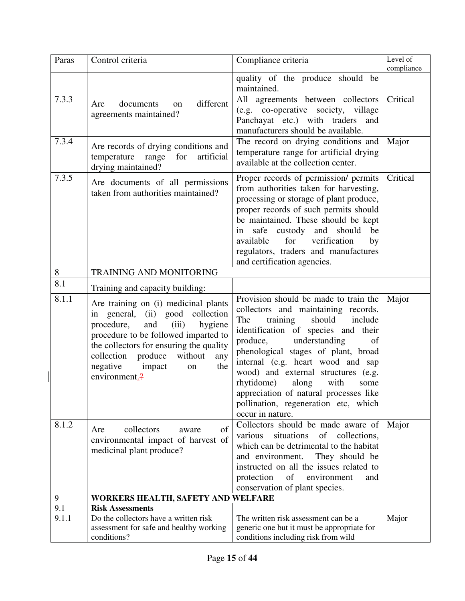| Paras | Control criteria                                                                                                                                                                                                                                                                                 | Compliance criteria                                                                                                                                                                                                                                                                                                                                                                                                                                            | Level of<br>compliance |
|-------|--------------------------------------------------------------------------------------------------------------------------------------------------------------------------------------------------------------------------------------------------------------------------------------------------|----------------------------------------------------------------------------------------------------------------------------------------------------------------------------------------------------------------------------------------------------------------------------------------------------------------------------------------------------------------------------------------------------------------------------------------------------------------|------------------------|
|       |                                                                                                                                                                                                                                                                                                  | quality of the produce should be<br>maintained.                                                                                                                                                                                                                                                                                                                                                                                                                |                        |
| 7.3.3 | different<br>documents<br>Are<br>on<br>agreements maintained?                                                                                                                                                                                                                                    | All agreements between collectors<br>(e.g. co-operative society, village<br>Panchayat etc.) with traders and<br>manufacturers should be available.                                                                                                                                                                                                                                                                                                             | Critical               |
| 7.3.4 | Are records of drying conditions and<br>temperature range for<br>artificial<br>drying maintained?                                                                                                                                                                                                | The record on drying conditions and<br>temperature range for artificial drying<br>available at the collection center.                                                                                                                                                                                                                                                                                                                                          | Major                  |
| 7.3.5 | Are documents of all permissions<br>taken from authorities maintained?                                                                                                                                                                                                                           | Proper records of permission/ permits<br>from authorities taken for harvesting,<br>processing or storage of plant produce,<br>proper records of such permits should<br>be maintained. These should be kept<br>safe custody and should<br>be<br>in<br>verification<br>available<br>for<br>by<br>regulators, traders and manufactures<br>and certification agencies.                                                                                             | Critical               |
| 8     | <b>TRAINING AND MONITORING</b>                                                                                                                                                                                                                                                                   |                                                                                                                                                                                                                                                                                                                                                                                                                                                                |                        |
| 8.1   | Training and capacity building:                                                                                                                                                                                                                                                                  |                                                                                                                                                                                                                                                                                                                                                                                                                                                                |                        |
| 8.1.1 | Are training on (i) medicinal plants<br>in general, (ii) good collection<br>and<br>procedure,<br>(iii)<br>hygiene<br>procedure to be followed imparted to<br>the collectors for ensuring the quality<br>collection produce<br>without<br>any<br>negative<br>impact<br>the<br>on<br>environment.? | Provision should be made to train the<br>collectors and maintaining records.<br>should<br>The<br>training<br>include<br>identification of species and their<br>produce,<br>understanding<br>of<br>phenological stages of plant, broad<br>internal (e.g. heart wood and sap<br>wood) and external structures (e.g.<br>rhytidome)<br>along<br>with<br>some<br>appreciation of natural processes like<br>pollination, regeneration etc, which<br>occur in nature. | Major                  |
| 8.1.2 | collectors<br>of<br>Are<br>aware<br>environmental impact of harvest of<br>medicinal plant produce?                                                                                                                                                                                               | Collectors should be made aware of<br>situations<br>of collections,<br>various<br>which can be detrimental to the habitat<br>and environment.<br>They should be<br>instructed on all the issues related to<br>of<br>environment<br>protection<br>and<br>conservation of plant species.                                                                                                                                                                         | Major                  |
| 9     | WORKERS HEALTH, SAFETY AND WELFARE                                                                                                                                                                                                                                                               |                                                                                                                                                                                                                                                                                                                                                                                                                                                                |                        |
| 9.1   | <b>Risk Assessments</b>                                                                                                                                                                                                                                                                          |                                                                                                                                                                                                                                                                                                                                                                                                                                                                |                        |
| 9.1.1 | Do the collectors have a written risk<br>assessment for safe and healthy working<br>conditions?                                                                                                                                                                                                  | The written risk assessment can be a<br>generic one but it must be appropriate for<br>conditions including risk from wild                                                                                                                                                                                                                                                                                                                                      | Major                  |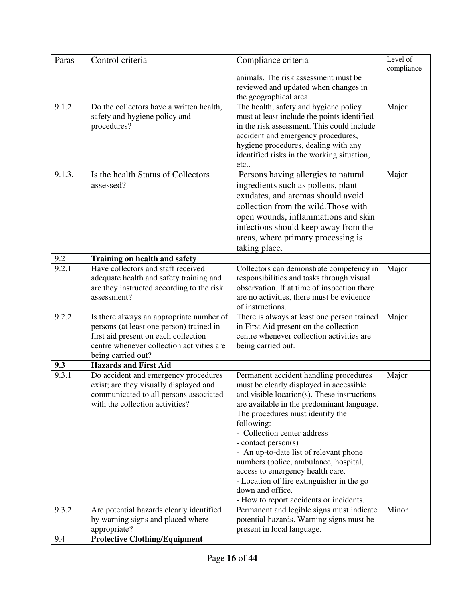| Paras  | Control criteria                                                                                                                                                                                | Compliance criteria                                                                                                                                                                                                                                                                                                                                                                                                                                                                                                       | Level $\overline{of}$<br>compliance |
|--------|-------------------------------------------------------------------------------------------------------------------------------------------------------------------------------------------------|---------------------------------------------------------------------------------------------------------------------------------------------------------------------------------------------------------------------------------------------------------------------------------------------------------------------------------------------------------------------------------------------------------------------------------------------------------------------------------------------------------------------------|-------------------------------------|
|        |                                                                                                                                                                                                 | animals. The risk assessment must be<br>reviewed and updated when changes in<br>the geographical area                                                                                                                                                                                                                                                                                                                                                                                                                     |                                     |
| 9.1.2  | Do the collectors have a written health,<br>safety and hygiene policy and<br>procedures?                                                                                                        | The health, safety and hygiene policy<br>must at least include the points identified<br>in the risk assessment. This could include<br>accident and emergency procedures,<br>hygiene procedures, dealing with any<br>identified risks in the working situation,<br>etc                                                                                                                                                                                                                                                     | Major                               |
| 9.1.3. | Is the health Status of Collectors<br>assessed?                                                                                                                                                 | Persons having allergies to natural<br>ingredients such as pollens, plant<br>exudates, and aromas should avoid<br>collection from the wild. Those with<br>open wounds, inflammations and skin<br>infections should keep away from the<br>areas, where primary processing is<br>taking place.                                                                                                                                                                                                                              | Major                               |
| 9.2    | <b>Training on health and safety</b>                                                                                                                                                            |                                                                                                                                                                                                                                                                                                                                                                                                                                                                                                                           |                                     |
| 9.2.1  | Have collectors and staff received<br>adequate health and safety training and<br>are they instructed according to the risk<br>assessment?                                                       | Collectors can demonstrate competency in<br>responsibilities and tasks through visual<br>observation. If at time of inspection there<br>are no activities, there must be evidence<br>of instructions.                                                                                                                                                                                                                                                                                                                     | Major                               |
| 9.2.2  | Is there always an appropriate number of<br>persons (at least one person) trained in<br>first aid present on each collection<br>centre whenever collection activities are<br>being carried out? | There is always at least one person trained<br>in First Aid present on the collection<br>centre whenever collection activities are<br>being carried out.                                                                                                                                                                                                                                                                                                                                                                  | Major                               |
| 9.3    | <b>Hazards and First Aid</b>                                                                                                                                                                    |                                                                                                                                                                                                                                                                                                                                                                                                                                                                                                                           |                                     |
| 9.3.1  | Do accident and emergency procedures<br>exist; are they visually displayed and<br>communicated to all persons associated<br>with the collection activities?                                     | Permanent accident handling procedures<br>must be clearly displayed in accessible<br>and visible location(s). These instructions<br>are available in the predominant language.<br>The procedures must identify the<br>following:<br>- Collection center address<br>- contact person(s)<br>- An up-to-date list of relevant phone<br>numbers (police, ambulance, hospital,<br>access to emergency health care.<br>- Location of fire extinguisher in the go<br>down and office.<br>- How to report accidents or incidents. | Major                               |
| 9.3.2  | Are potential hazards clearly identified<br>by warning signs and placed where<br>appropriate?                                                                                                   | Permanent and legible signs must indicate<br>potential hazards. Warning signs must be<br>present in local language.                                                                                                                                                                                                                                                                                                                                                                                                       | Minor                               |
| 9.4    | <b>Protective Clothing/Equipment</b>                                                                                                                                                            |                                                                                                                                                                                                                                                                                                                                                                                                                                                                                                                           |                                     |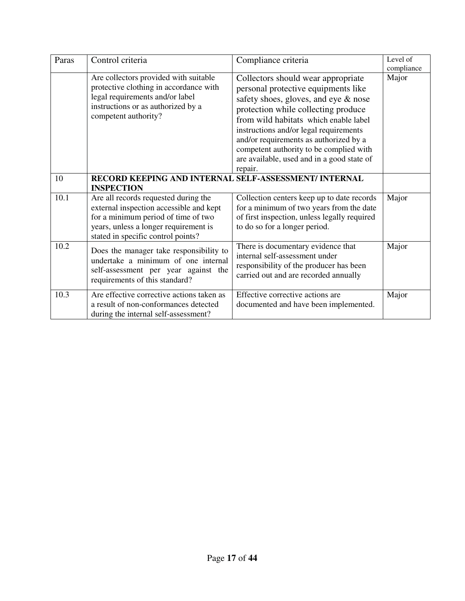| Paras | Control criteria                                                                                                                                                                                      | Compliance criteria                                                                                                                                                                                                                                                                                                                                                                       | Level of<br>compliance |
|-------|-------------------------------------------------------------------------------------------------------------------------------------------------------------------------------------------------------|-------------------------------------------------------------------------------------------------------------------------------------------------------------------------------------------------------------------------------------------------------------------------------------------------------------------------------------------------------------------------------------------|------------------------|
|       | Are collectors provided with suitable<br>protective clothing in accordance with<br>legal requirements and/or label<br>instructions or as authorized by a<br>competent authority?                      | Collectors should wear appropriate<br>personal protective equipments like<br>safety shoes, gloves, and eye & nose<br>protection while collecting produce<br>from wild habitats which enable label<br>instructions and/or legal requirements<br>and/or requirements as authorized by a<br>competent authority to be complied with<br>are available, used and in a good state of<br>repair. | Major                  |
| 10    | RECORD KEEPING AND INTERNAL SELF-ASSESSMENT/ INTERNAL<br><b>INSPECTION</b>                                                                                                                            |                                                                                                                                                                                                                                                                                                                                                                                           |                        |
| 10.1  | Are all records requested during the<br>external inspection accessible and kept<br>for a minimum period of time of two<br>years, unless a longer requirement is<br>stated in specific control points? | Collection centers keep up to date records<br>for a minimum of two years from the date<br>of first inspection, unless legally required<br>to do so for a longer period.                                                                                                                                                                                                                   | Major                  |
| 10.2  | Does the manager take responsibility to<br>undertake a minimum of one internal<br>self-assessment per year against the<br>requirements of this standard?                                              | There is documentary evidence that<br>internal self-assessment under<br>responsibility of the producer has been<br>carried out and are recorded annually                                                                                                                                                                                                                                  | Major                  |
| 10.3  | Are effective corrective actions taken as<br>a result of non-conformances detected<br>during the internal self-assessment?                                                                            | Effective corrective actions are<br>documented and have been implemented.                                                                                                                                                                                                                                                                                                                 | Major                  |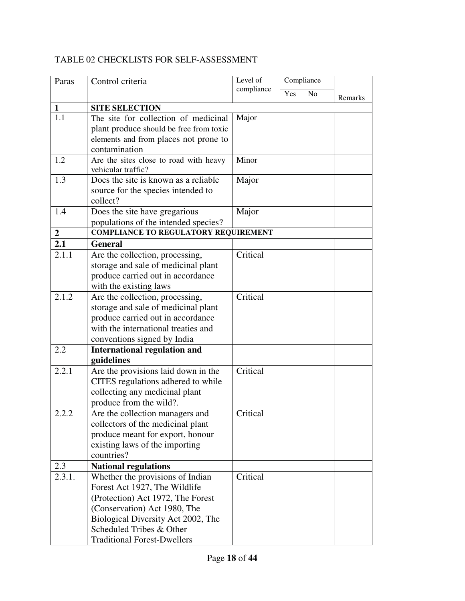# TABLE 02 CHECKLISTS FOR SELF-ASSESSMENT

| Paras          | Control criteria                                                                                                                                                                                                                               | Level of   | Compliance |                |         |
|----------------|------------------------------------------------------------------------------------------------------------------------------------------------------------------------------------------------------------------------------------------------|------------|------------|----------------|---------|
|                |                                                                                                                                                                                                                                                | compliance | Yes        | N <sub>o</sub> | Remarks |
| $\mathbf{1}$   | <b>SITE SELECTION</b>                                                                                                                                                                                                                          |            |            |                |         |
| 1.1            | The site for collection of medicinal<br>plant produce should be free from toxic<br>elements and from places not prone to<br>contamination                                                                                                      | Major      |            |                |         |
| 1.2            | Are the sites close to road with heavy<br>vehicular traffic?                                                                                                                                                                                   | Minor      |            |                |         |
| 1.3            | Does the site is known as a reliable<br>source for the species intended to<br>collect?                                                                                                                                                         | Major      |            |                |         |
| 1.4            | Does the site have gregarious<br>populations of the intended species?                                                                                                                                                                          | Major      |            |                |         |
| $\overline{2}$ | <b>COMPLIANCE TO REGULATORY REQUIREMENT</b>                                                                                                                                                                                                    |            |            |                |         |
| 2.1            | <b>General</b>                                                                                                                                                                                                                                 |            |            |                |         |
| 2.1.1          | Are the collection, processing,<br>storage and sale of medicinal plant<br>produce carried out in accordance<br>with the existing laws                                                                                                          | Critical   |            |                |         |
| 2.1.2          | Are the collection, processing,<br>storage and sale of medicinal plant<br>produce carried out in accordance<br>with the international treaties and<br>conventions signed by India                                                              | Critical   |            |                |         |
| 2.2            | <b>International regulation and</b>                                                                                                                                                                                                            |            |            |                |         |
|                | guidelines                                                                                                                                                                                                                                     |            |            |                |         |
| 2.2.1          | Are the provisions laid down in the<br>CITES regulations adhered to while<br>collecting any medicinal plant<br>produce from the wild?.                                                                                                         | Critical   |            |                |         |
| 2.2.2          | Are the collection managers and<br>collectors of the medicinal plant<br>produce meant for export, honour<br>existing laws of the importing<br>countries?                                                                                       | Critical   |            |                |         |
| 2.3            | <b>National regulations</b>                                                                                                                                                                                                                    |            |            |                |         |
| 2.3.1.         | Whether the provisions of Indian<br>Forest Act 1927, The Wildlife<br>(Protection) Act 1972, The Forest<br>(Conservation) Act 1980, The<br>Biological Diversity Act 2002, The<br>Scheduled Tribes & Other<br><b>Traditional Forest-Dwellers</b> | Critical   |            |                |         |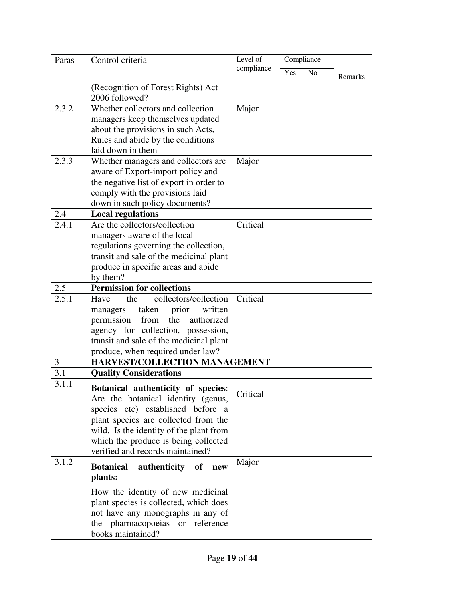| Paras | Control criteria                                                         | Level of   | Compliance |                |         |
|-------|--------------------------------------------------------------------------|------------|------------|----------------|---------|
|       |                                                                          | compliance | Yes        | N <sub>o</sub> | Remarks |
|       | (Recognition of Forest Rights) Act                                       |            |            |                |         |
|       | 2006 followed?                                                           |            |            |                |         |
| 2.3.2 | Whether collectors and collection                                        | Major      |            |                |         |
|       | managers keep themselves updated                                         |            |            |                |         |
|       | about the provisions in such Acts,                                       |            |            |                |         |
|       | Rules and abide by the conditions                                        |            |            |                |         |
|       | laid down in them                                                        |            |            |                |         |
| 2.3.3 | Whether managers and collectors are                                      | Major      |            |                |         |
|       | aware of Export-import policy and                                        |            |            |                |         |
|       | the negative list of export in order to                                  |            |            |                |         |
|       | comply with the provisions laid                                          |            |            |                |         |
|       | down in such policy documents?                                           |            |            |                |         |
| 2.4   | <b>Local regulations</b>                                                 |            |            |                |         |
| 2.4.1 | Are the collectors/collection                                            | Critical   |            |                |         |
|       | managers aware of the local                                              |            |            |                |         |
|       | regulations governing the collection,                                    |            |            |                |         |
|       | transit and sale of the medicinal plant                                  |            |            |                |         |
|       | produce in specific areas and abide                                      |            |            |                |         |
|       | by them?                                                                 |            |            |                |         |
| 2.5   | <b>Permission for collections</b>                                        |            |            |                |         |
| 2.5.1 | collectors/collection<br>Have<br>the                                     | Critical   |            |                |         |
|       | taken prior<br>written<br>managers                                       |            |            |                |         |
|       | the<br>permission from<br>authorized                                     |            |            |                |         |
|       | agency for collection, possession,                                       |            |            |                |         |
|       | transit and sale of the medicinal plant                                  |            |            |                |         |
|       | produce, when required under law?                                        |            |            |                |         |
| 3     | HARVEST/COLLECTION MANAGEMENT                                            |            |            |                |         |
| 3.1   | <b>Quality Considerations</b>                                            |            |            |                |         |
| 3.1.1 |                                                                          |            |            |                |         |
|       | Botanical authenticity of species:<br>Are the botanical identity (genus, | Critical   |            |                |         |
|       | species etc) established before a                                        |            |            |                |         |
|       | plant species are collected from the                                     |            |            |                |         |
|       | wild. Is the identity of the plant from                                  |            |            |                |         |
|       | which the produce is being collected                                     |            |            |                |         |
|       | verified and records maintained?                                         |            |            |                |         |
| 3.1.2 |                                                                          | Major      |            |                |         |
|       | <b>Botanical</b><br>authenticity of<br>new                               |            |            |                |         |
|       | plants:                                                                  |            |            |                |         |
|       | How the identity of new medicinal                                        |            |            |                |         |
|       | plant species is collected, which does                                   |            |            |                |         |
|       | not have any monographs in any of                                        |            |            |                |         |
|       | the pharmacopoeias or reference                                          |            |            |                |         |
|       | books maintained?                                                        |            |            |                |         |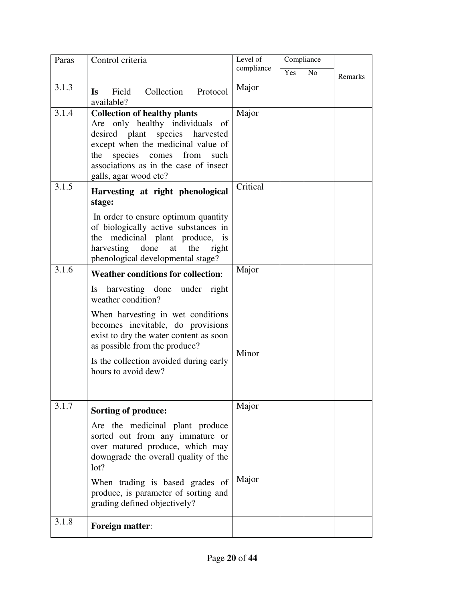| Paras | Control criteria                                                                                                                                                                                                                                                           | Level of<br>compliance | Compliance |                |         |
|-------|----------------------------------------------------------------------------------------------------------------------------------------------------------------------------------------------------------------------------------------------------------------------------|------------------------|------------|----------------|---------|
|       |                                                                                                                                                                                                                                                                            |                        | Yes        | N <sub>o</sub> | Remarks |
| 3.1.3 | Field Collection Protocol<br>Is a set of the set of the set of the set of the set of the set of the set of the set of the set of the set of the set of the set of the set of the set of the set of the set of the set of the set of the set of the set of t<br>available?  | Major                  |            |                |         |
| 3.1.4 | <b>Collection of healthy plants</b><br>Are only healthy individuals of<br>desired plant species harvested<br>except when the medicinal value of<br>the species comes from such<br>associations as in the case of insect<br>galls, agar wood etc?                           | Major                  |            |                |         |
| 3.1.5 | Harvesting at right phenological<br>stage:<br>In order to ensure optimum quantity<br>of biologically active substances in<br>the medicinal plant produce, is<br>harvesting done at<br>the<br>right                                                                         | Critical               |            |                |         |
| 3.1.6 | phenological developmental stage?<br><b>Weather conditions for collection:</b>                                                                                                                                                                                             | Major                  |            |                |         |
|       | Is harvesting done under right<br>weather condition?<br>When harvesting in wet conditions<br>becomes inevitable, do provisions<br>exist to dry the water content as soon<br>as possible from the produce?<br>Is the collection avoided during early<br>hours to avoid dew? | Minor                  |            |                |         |
|       |                                                                                                                                                                                                                                                                            |                        |            |                |         |
| 3.1.7 | <b>Sorting of produce:</b>                                                                                                                                                                                                                                                 | Major                  |            |                |         |
|       | Are the medicinal plant produce<br>sorted out from any immature or<br>over matured produce, which may<br>downgrade the overall quality of the<br>lot?<br>When trading is based grades of                                                                                   | Major                  |            |                |         |
|       | produce, is parameter of sorting and<br>grading defined objectively?                                                                                                                                                                                                       |                        |            |                |         |
| 3.1.8 | Foreign matter:                                                                                                                                                                                                                                                            |                        |            |                |         |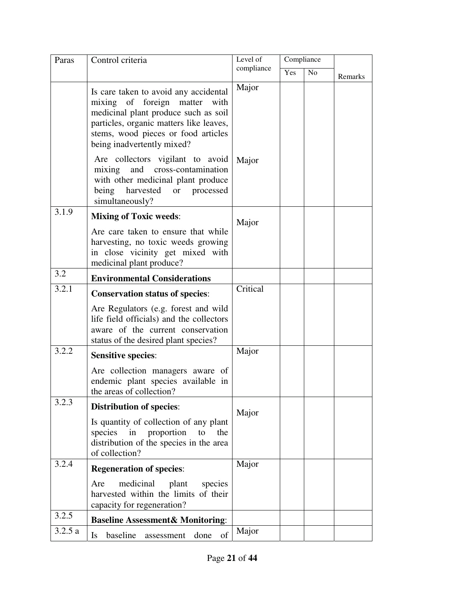| Paras  | Control criteria                                                                                                                                                                                                               |            | Compliance |                |         |
|--------|--------------------------------------------------------------------------------------------------------------------------------------------------------------------------------------------------------------------------------|------------|------------|----------------|---------|
|        |                                                                                                                                                                                                                                | compliance | Yes        | N <sub>o</sub> | Remarks |
|        | Is care taken to avoid any accidental<br>mixing of foreign matter with<br>medicinal plant produce such as soil<br>particles, organic matters like leaves,<br>stems, wood pieces or food articles<br>being inadvertently mixed? | Major      |            |                |         |
|        | Are collectors vigilant to avoid<br>mixing and cross-contamination<br>with other medicinal plant produce<br>being<br>harvested or processed<br>simultaneously?                                                                 | Major      |            |                |         |
| 3.1.9  | <b>Mixing of Toxic weeds:</b>                                                                                                                                                                                                  | Major      |            |                |         |
|        | Are care taken to ensure that while<br>harvesting, no toxic weeds growing<br>in close vicinity get mixed with<br>medicinal plant produce?                                                                                      |            |            |                |         |
| 3.2    | <b>Environmental Considerations</b>                                                                                                                                                                                            |            |            |                |         |
| 3.2.1  | <b>Conservation status of species:</b>                                                                                                                                                                                         | Critical   |            |                |         |
|        | Are Regulators (e.g. forest and wild<br>life field officials) and the collectors<br>aware of the current conservation<br>status of the desired plant species?                                                                  |            |            |                |         |
| 3.2.2  | <b>Sensitive species:</b>                                                                                                                                                                                                      | Major      |            |                |         |
|        | Are collection managers aware of<br>endemic plant species available in<br>the areas of collection?                                                                                                                             |            |            |                |         |
| 3.2.3  | <b>Distribution of species:</b>                                                                                                                                                                                                | Major      |            |                |         |
|        | Is quantity of collection of any plant<br>proportion<br>species<br>in<br>to<br>the<br>distribution of the species in the area<br>of collection?                                                                                |            |            |                |         |
| 3.2.4  | <b>Regeneration of species:</b>                                                                                                                                                                                                | Major      |            |                |         |
|        | medicinal<br>plant<br>species<br>Are<br>harvested within the limits of their<br>capacity for regeneration?                                                                                                                     |            |            |                |         |
| 3.2.5  | <b>Baseline Assessment&amp; Monitoring:</b>                                                                                                                                                                                    |            |            |                |         |
| 3.2.5a | of<br>baseline<br>Is<br>assessment<br>done                                                                                                                                                                                     | Major      |            |                |         |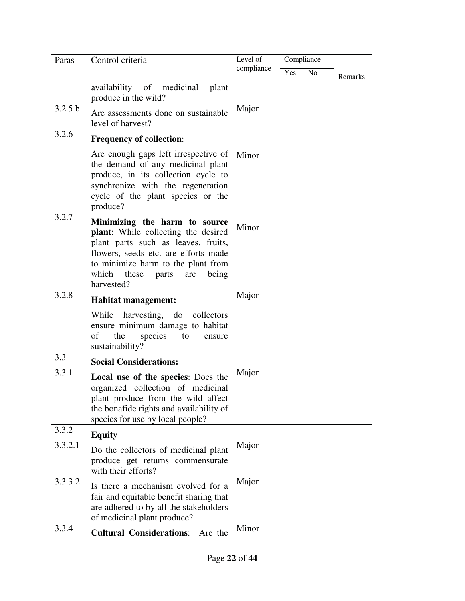| Paras   | Control criteria                                                                                                                                                                                                                          | Level of   | Compliance |                |         |
|---------|-------------------------------------------------------------------------------------------------------------------------------------------------------------------------------------------------------------------------------------------|------------|------------|----------------|---------|
|         |                                                                                                                                                                                                                                           | compliance | Yes        | N <sub>o</sub> | Remarks |
|         | availability of medicinal plant<br>produce in the wild?                                                                                                                                                                                   |            |            |                |         |
| 3.2.5.b | Are assessments done on sustainable<br>level of harvest?                                                                                                                                                                                  | Major      |            |                |         |
| 3.2.6   | <b>Frequency of collection:</b>                                                                                                                                                                                                           |            |            |                |         |
|         | Are enough gaps left irrespective of<br>the demand of any medicinal plant<br>produce, in its collection cycle to<br>synchronize with the regeneration<br>cycle of the plant species or the<br>produce?                                    | Minor      |            |                |         |
| 3.2.7   | Minimizing the harm to source<br>plant: While collecting the desired<br>plant parts such as leaves, fruits,<br>flowers, seeds etc. are efforts made<br>to minimize harm to the plant from<br>which these parts are<br>being<br>harvested? | Minor      |            |                |         |
| 3.2.8   | Habitat management:                                                                                                                                                                                                                       | Major      |            |                |         |
|         | While harvesting, do collectors<br>ensure minimum damage to habitat<br>the<br>of<br>species<br>to<br>ensure<br>sustainability?                                                                                                            |            |            |                |         |
| 3.3     | <b>Social Considerations:</b>                                                                                                                                                                                                             |            |            |                |         |
| 3.3.1   | Local use of the species: Does the<br>organized collection of medicinal<br>plant produce from the wild affect<br>the bonafide rights and availability of<br>species for use by local people?                                              | Major      |            |                |         |
| 3.3.2   | <b>Equity</b>                                                                                                                                                                                                                             |            |            |                |         |
| 3.3.2.1 | Do the collectors of medicinal plant<br>produce get returns commensurate<br>with their efforts?                                                                                                                                           | Major      |            |                |         |
| 3.3.3.2 | Is there a mechanism evolved for a<br>fair and equitable benefit sharing that<br>are adhered to by all the stakeholders<br>of medicinal plant produce?                                                                                    | Major      |            |                |         |
| 3.3.4   | <b>Cultural Considerations:</b><br>Are the                                                                                                                                                                                                | Minor      |            |                |         |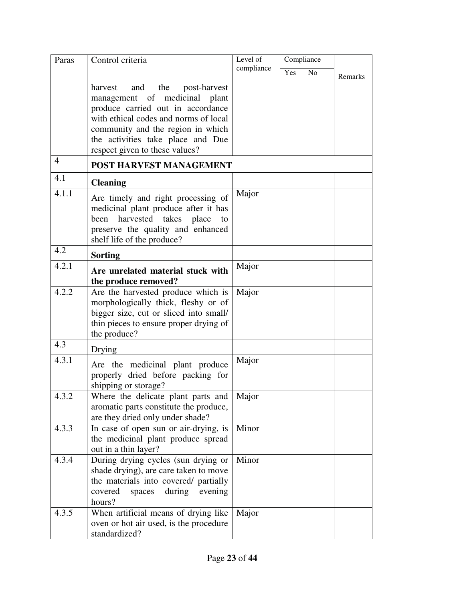| Paras          | Control criteria                                                                                                                                                                                                                                                 | Level of   | Compliance |                |         |
|----------------|------------------------------------------------------------------------------------------------------------------------------------------------------------------------------------------------------------------------------------------------------------------|------------|------------|----------------|---------|
|                |                                                                                                                                                                                                                                                                  | compliance | Yes        | N <sub>o</sub> | Remarks |
|                | harvest<br>and<br>the<br>post-harvest<br>management of medicinal plant<br>produce carried out in accordance<br>with ethical codes and norms of local<br>community and the region in which<br>the activities take place and Due<br>respect given to these values? |            |            |                |         |
| $\overline{4}$ | <b>POST HARVEST MANAGEMENT</b>                                                                                                                                                                                                                                   |            |            |                |         |
| 4.1            | <b>Cleaning</b>                                                                                                                                                                                                                                                  |            |            |                |         |
| 4.1.1          | Are timely and right processing of<br>medicinal plant produce after it has<br>harvested takes<br>place<br>been<br>to<br>preserve the quality and enhanced<br>shelf life of the produce?                                                                          | Major      |            |                |         |
| 4.2            | <b>Sorting</b>                                                                                                                                                                                                                                                   |            |            |                |         |
| 4.2.1          | Are unrelated material stuck with<br>the produce removed?                                                                                                                                                                                                        | Major      |            |                |         |
| 4.2.2          | Are the harvested produce which is<br>morphologically thick, fleshy or of<br>bigger size, cut or sliced into small/<br>thin pieces to ensure proper drying of<br>the produce?                                                                                    | Major      |            |                |         |
| 4.3            | Drying                                                                                                                                                                                                                                                           |            |            |                |         |
| 4.3.1          | Are the medicinal plant produce<br>properly dried before packing for<br>shipping or storage?                                                                                                                                                                     | Major      |            |                |         |
| 4.3.2          | Where the delicate plant parts and<br>aromatic parts constitute the produce,<br>are they dried only under shade?                                                                                                                                                 | Major      |            |                |         |
| 4.3.3          | In case of open sun or air-drying, is<br>the medicinal plant produce spread<br>out in a thin layer?                                                                                                                                                              | Minor      |            |                |         |
| 4.3.4          | During drying cycles (sun drying or<br>shade drying), are care taken to move<br>the materials into covered/ partially<br>covered<br>spaces<br>during evening<br>hours?                                                                                           | Minor      |            |                |         |
| 4.3.5          | When artificial means of drying like<br>oven or hot air used, is the procedure<br>standardized?                                                                                                                                                                  | Major      |            |                |         |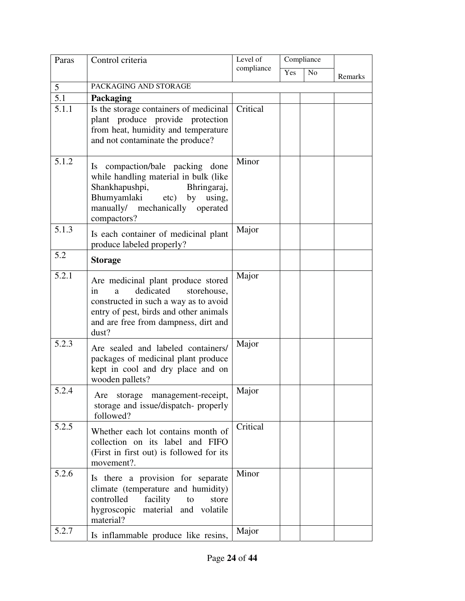| Paras          | Control criteria                                                                                                                                                                                              | Level of   | Compliance |                |         |
|----------------|---------------------------------------------------------------------------------------------------------------------------------------------------------------------------------------------------------------|------------|------------|----------------|---------|
|                |                                                                                                                                                                                                               | compliance | Yes        | N <sub>o</sub> | Remarks |
| 5 <sup>5</sup> | PACKAGING AND STORAGE                                                                                                                                                                                         |            |            |                |         |
| 5.1            | Packaging                                                                                                                                                                                                     |            |            |                |         |
| 5.1.1          | Is the storage containers of medicinal<br>plant produce provide protection<br>from heat, humidity and temperature<br>and not contaminate the produce?                                                         | Critical   |            |                |         |
| 5.1.2          | compaction/bale packing done<br>Is.<br>while handling material in bulk (like<br>Shankhapushpi,<br>Bhringaraj,<br>Bhumyamlaki<br>etc)<br>by<br>using,<br>manually/ mechanically<br>operated<br>compactors?     | Minor      |            |                |         |
| 5.1.3          | Is each container of medicinal plant<br>produce labeled properly?                                                                                                                                             | Major      |            |                |         |
| 5.2            | <b>Storage</b>                                                                                                                                                                                                |            |            |                |         |
| 5.2.1          | Are medicinal plant produce stored<br>dedicated<br>storehouse,<br>in<br>a<br>constructed in such a way as to avoid<br>entry of pest, birds and other animals<br>and are free from dampness, dirt and<br>dust? | Major      |            |                |         |
| 5.2.3          | Are sealed and labeled containers/<br>packages of medicinal plant produce<br>kept in cool and dry place and on<br>wooden pallets?                                                                             | Major      |            |                |         |
| 5.2.4          | Are storage management-receipt,<br>storage and issue/dispatch- properly<br>followed?                                                                                                                          | Major      |            |                |         |
| 5.2.5          | Whether each lot contains month of<br>collection on its label and FIFO<br>(First in first out) is followed for its<br>movement?.                                                                              | Critical   |            |                |         |
| 5.2.6          | Is there a provision for separate<br>climate (temperature and humidity)<br>controlled<br>facility<br>to<br>store<br>hygroscopic<br>material and volatile<br>material?                                         | Minor      |            |                |         |
| 5.2.7          | Is inflammable produce like resins,                                                                                                                                                                           | Major      |            |                |         |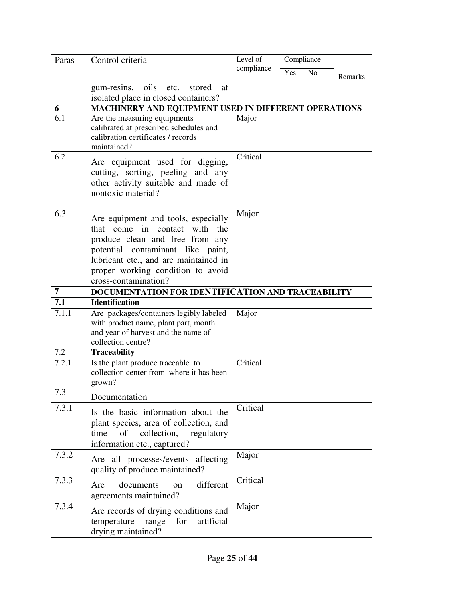| Paras | Control criteria                                                                                                                                                                                                                                   | Level of<br>Compliance |     |    |         |
|-------|----------------------------------------------------------------------------------------------------------------------------------------------------------------------------------------------------------------------------------------------------|------------------------|-----|----|---------|
|       |                                                                                                                                                                                                                                                    | compliance             | Yes | No | Remarks |
|       | oils etc. stored<br>gum-resins,<br>at<br>isolated place in closed containers?                                                                                                                                                                      |                        |     |    |         |
| 6     | MACHINERY AND EQUIPMENT USED IN DIFFERENT OPERATIONS                                                                                                                                                                                               |                        |     |    |         |
| 6.1   | Are the measuring equipments<br>calibrated at prescribed schedules and<br>calibration certificates / records<br>maintained?                                                                                                                        | Major                  |     |    |         |
| 6.2   | Are equipment used for digging,<br>cutting, sorting, peeling and any<br>other activity suitable and made of<br>nontoxic material?                                                                                                                  | Critical               |     |    |         |
| 6.3   | Are equipment and tools, especially<br>that come in contact with the<br>produce clean and free from any<br>potential contaminant like paint,<br>lubricant etc., and are maintained in<br>proper working condition to avoid<br>cross-contamination? | Major                  |     |    |         |
| 7     | DOCUMENTATION FOR IDENTIFICATION AND TRACEABILITY                                                                                                                                                                                                  |                        |     |    |         |
| 7.1   | <b>Identification</b>                                                                                                                                                                                                                              |                        |     |    |         |
| 7.1.1 | Are packages/containers legibly labeled<br>with product name, plant part, month<br>and year of harvest and the name of<br>collection centre?                                                                                                       | Major                  |     |    |         |
| 7.2   | <b>Traceability</b>                                                                                                                                                                                                                                |                        |     |    |         |
| 7.2.1 | Is the plant produce traceable to<br>collection center from where it has been<br>grown?                                                                                                                                                            | Critical               |     |    |         |
| 7.3   | Documentation                                                                                                                                                                                                                                      |                        |     |    |         |
| 7.3.1 | Is the basic information about the<br>plant species, area of collection, and<br>collection,<br>time<br>of<br>regulatory<br>information etc., captured?                                                                                             | Critical               |     |    |         |
| 7.3.2 | Are all processes/events affecting<br>quality of produce maintained?                                                                                                                                                                               | Major                  |     |    |         |
| 7.3.3 | different<br>documents<br>Are<br><sub>on</sub><br>agreements maintained?                                                                                                                                                                           | Critical               |     |    |         |
| 7.3.4 | Are records of drying conditions and<br>artificial<br>for<br>temperature<br>range<br>drying maintained?                                                                                                                                            | Major                  |     |    |         |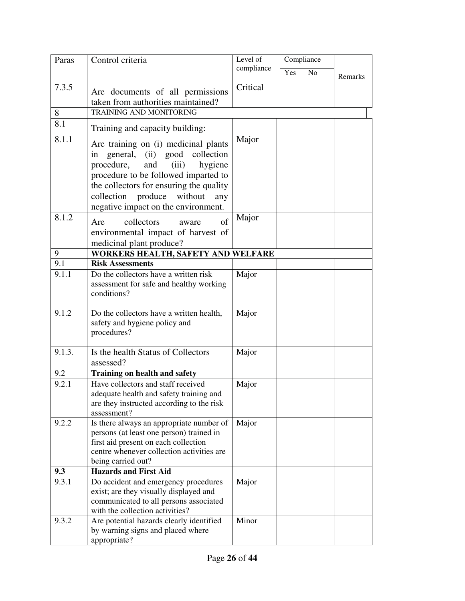| Paras  | Control criteria                                                                                                                                                                                                                                                              | Level of   | Compliance |                |         |
|--------|-------------------------------------------------------------------------------------------------------------------------------------------------------------------------------------------------------------------------------------------------------------------------------|------------|------------|----------------|---------|
|        |                                                                                                                                                                                                                                                                               | compliance | Yes        | N <sub>o</sub> | Remarks |
| 7.3.5  | Are documents of all permissions                                                                                                                                                                                                                                              | Critical   |            |                |         |
|        | taken from authorities maintained?                                                                                                                                                                                                                                            |            |            |                |         |
| 8      | <b>TRAINING AND MONITORING</b>                                                                                                                                                                                                                                                |            |            |                |         |
| 8.1    | Training and capacity building:                                                                                                                                                                                                                                               |            |            |                |         |
| 8.1.1  | Are training on (i) medicinal plants<br>in general, (ii) good collection<br>procedure, and<br>(iii)<br>hygiene<br>procedure to be followed imparted to<br>the collectors for ensuring the quality<br>collection produce without<br>any<br>negative impact on the environment. | Major      |            |                |         |
| 8.1.2  | of<br>collectors<br>Are<br>aware<br>environmental impact of harvest of<br>medicinal plant produce?                                                                                                                                                                            | Major      |            |                |         |
| 9      | WORKERS HEALTH, SAFETY AND WELFARE                                                                                                                                                                                                                                            |            |            |                |         |
| 9.1    | <b>Risk Assessments</b>                                                                                                                                                                                                                                                       |            |            |                |         |
| 9.1.1  | Do the collectors have a written risk<br>assessment for safe and healthy working<br>conditions?                                                                                                                                                                               | Major      |            |                |         |
| 9.1.2  | Do the collectors have a written health,<br>safety and hygiene policy and<br>procedures?                                                                                                                                                                                      | Major      |            |                |         |
| 9.1.3. | Is the health Status of Collectors<br>assessed?                                                                                                                                                                                                                               | Major      |            |                |         |
| 9.2    | <b>Training on health and safety</b>                                                                                                                                                                                                                                          |            |            |                |         |
| 9.2.1  | Have collectors and staff received<br>adequate health and safety training and<br>are they instructed according to the risk<br>assessment?                                                                                                                                     | Major      |            |                |         |
| 9.2.2  | Is there always an appropriate number of<br>persons (at least one person) trained in<br>first aid present on each collection<br>centre whenever collection activities are<br>being carried out?                                                                               | Major      |            |                |         |
| 9.3    | <b>Hazards and First Aid</b>                                                                                                                                                                                                                                                  |            |            |                |         |
| 9.3.1  | Do accident and emergency procedures<br>exist; are they visually displayed and<br>communicated to all persons associated<br>with the collection activities?                                                                                                                   | Major      |            |                |         |
| 9.3.2  | Are potential hazards clearly identified<br>by warning signs and placed where<br>appropriate?                                                                                                                                                                                 | Minor      |            |                |         |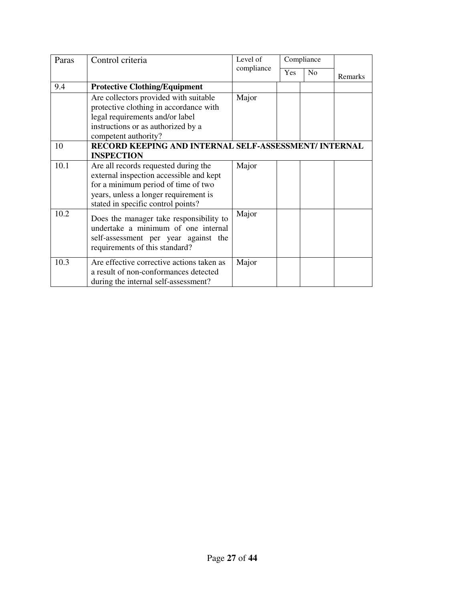| Paras | Control criteria                                                                                                                                                                                      | Level of   |     | Compliance     |         |
|-------|-------------------------------------------------------------------------------------------------------------------------------------------------------------------------------------------------------|------------|-----|----------------|---------|
|       |                                                                                                                                                                                                       | compliance | Yes | N <sub>o</sub> | Remarks |
| 9.4   | <b>Protective Clothing/Equipment</b>                                                                                                                                                                  |            |     |                |         |
|       | Are collectors provided with suitable<br>protective clothing in accordance with<br>legal requirements and/or label<br>instructions or as authorized by a<br>competent authority?                      | Major      |     |                |         |
| 10    | RECORD KEEPING AND INTERNAL SELF-ASSESSMENT/ INTERNAL<br><b>INSPECTION</b>                                                                                                                            |            |     |                |         |
| 10.1  | Are all records requested during the<br>external inspection accessible and kept<br>for a minimum period of time of two<br>years, unless a longer requirement is<br>stated in specific control points? | Major      |     |                |         |
| 10.2  | Does the manager take responsibility to<br>undertake a minimum of one internal<br>self-assessment per year against the<br>requirements of this standard?                                              | Major      |     |                |         |
| 10.3  | Are effective corrective actions taken as<br>a result of non-conformances detected<br>during the internal self-assessment?                                                                            | Major      |     |                |         |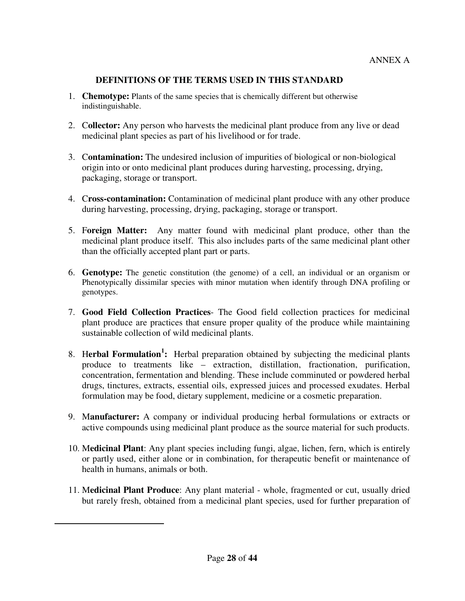## **DEFINITIONS OF THE TERMS USED IN THIS STANDARD**

- 1. **Chemotype:** Plants of the same species that is chemically different but otherwise indistinguishable.
- 2. C**ollector:** Any person who harvests the medicinal plant produce from any live or dead medicinal plant species as part of his livelihood or for trade.
- 3. C**ontamination:** The undesired inclusion of impurities of biological or non-biological origin into or onto medicinal plant produces during harvesting, processing, drying, packaging, storage or transport.
- 4. C**ross-contamination:** Contamination of medicinal plant produce with any other produce during harvesting, processing, drying, packaging, storage or transport.
- 5. F**oreign Matter:** Any matter found with medicinal plant produce, other than the medicinal plant produce itself. This also includes parts of the same medicinal plant other than the officially accepted plant part or parts.
- 6. **Genotype:** The genetic constitution (the genome) of a cell, an individual or an organism or Phenotypically dissimilar species with minor mutation when identify through DNA profiling or genotypes.
- 7. **Good Field Collection Practices** The Good field collection practices for medicinal plant produce are practices that ensure proper quality of the produce while maintaining sustainable collection of wild medicinal plants.
- 8. Herbal Formulation<sup>1</sup>: Herbal preparation obtained by subjecting the medicinal plants produce to treatments like – extraction, distillation, fractionation, purification, concentration, fermentation and blending. These include comminuted or powdered herbal drugs, tinctures, extracts, essential oils, expressed juices and processed exudates. Herbal formulation may be food, dietary supplement, medicine or a cosmetic preparation.
- 9. M**anufacturer:** A company or individual producing herbal formulations or extracts or active compounds using medicinal plant produce as the source material for such products.
- 10. M**edicinal Plant**: Any plant species including fungi, algae, lichen, fern, which is entirely or partly used, either alone or in combination, for therapeutic benefit or maintenance of health in humans, animals or both.
- 11. M**edicinal Plant Produce**: Any plant material whole, fragmented or cut, usually dried but rarely fresh, obtained from a medicinal plant species, used for further preparation of

-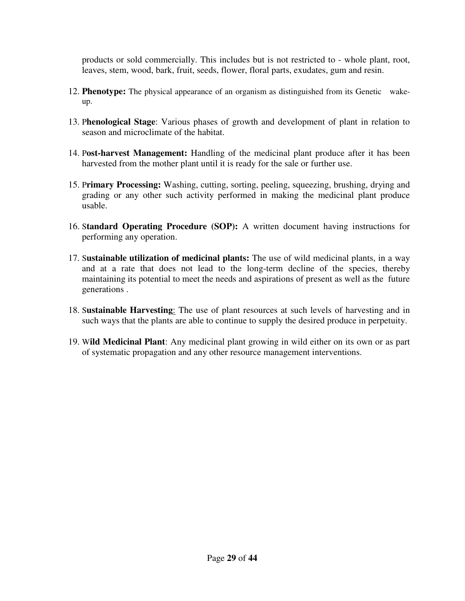products or sold commercially. This includes but is not restricted to - whole plant, root, leaves, stem, wood, bark, fruit, seeds, flower, floral parts, exudates, gum and resin.

- 12. **Phenotype:** The physical appearance of an organism as distinguished from its Genetic wakeup.
- 13. P**henological Stage**: Various phases of growth and development of plant in relation to season and microclimate of the habitat.
- 14. P**ost-harvest Management:** Handling of the medicinal plant produce after it has been harvested from the mother plant until it is ready for the sale or further use.
- 15. P**rimary Processing:** Washing, cutting, sorting, peeling, squeezing, brushing, drying and grading or any other such activity performed in making the medicinal plant produce usable.
- 16. S**tandard Operating Procedure (SOP):** A written document having instructions for performing any operation.
- 17. S**ustainable utilization of medicinal plants:** The use of wild medicinal plants, in a way and at a rate that does not lead to the long-term decline of the species, thereby maintaining its potential to meet the needs and aspirations of present as well as the future generations .
- 18. S**ustainable Harvesting**: The use of plant resources at such levels of harvesting and in such ways that the plants are able to continue to supply the desired produce in perpetuity.
- 19. W**ild Medicinal Plant**: Any medicinal plant growing in wild either on its own or as part of systematic propagation and any other resource management interventions.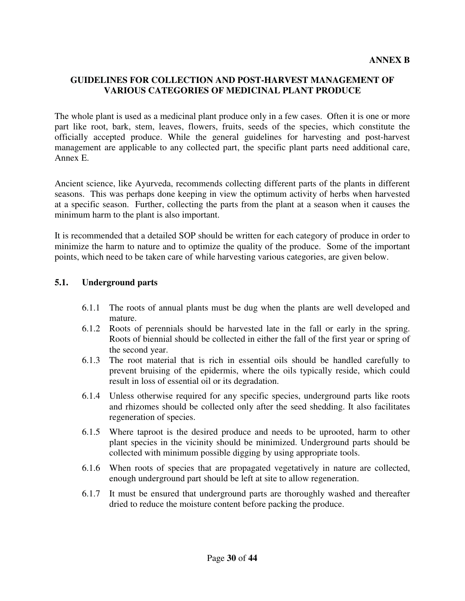# **GUIDELINES FOR COLLECTION AND POST-HARVEST MANAGEMENT OF VARIOUS CATEGORIES OF MEDICINAL PLANT PRODUCE**

The whole plant is used as a medicinal plant produce only in a few cases. Often it is one or more part like root, bark, stem, leaves, flowers, fruits, seeds of the species, which constitute the officially accepted produce. While the general guidelines for harvesting and post-harvest management are applicable to any collected part, the specific plant parts need additional care, Annex E.

Ancient science, like Ayurveda, recommends collecting different parts of the plants in different seasons. This was perhaps done keeping in view the optimum activity of herbs when harvested at a specific season. Further, collecting the parts from the plant at a season when it causes the minimum harm to the plant is also important.

It is recommended that a detailed SOP should be written for each category of produce in order to minimize the harm to nature and to optimize the quality of the produce. Some of the important points, which need to be taken care of while harvesting various categories, are given below.

#### **5.1. Underground parts**

- 6.1.1 The roots of annual plants must be dug when the plants are well developed and mature.
- 6.1.2 Roots of perennials should be harvested late in the fall or early in the spring. Roots of biennial should be collected in either the fall of the first year or spring of the second year.
- 6.1.3 The root material that is rich in essential oils should be handled carefully to prevent bruising of the epidermis, where the oils typically reside, which could result in loss of essential oil or its degradation.
- 6.1.4 Unless otherwise required for any specific species, underground parts like roots and rhizomes should be collected only after the seed shedding. It also facilitates regeneration of species.
- 6.1.5 Where taproot is the desired produce and needs to be uprooted, harm to other plant species in the vicinity should be minimized. Underground parts should be collected with minimum possible digging by using appropriate tools.
- 6.1.6 When roots of species that are propagated vegetatively in nature are collected, enough underground part should be left at site to allow regeneration.
- 6.1.7 It must be ensured that underground parts are thoroughly washed and thereafter dried to reduce the moisture content before packing the produce.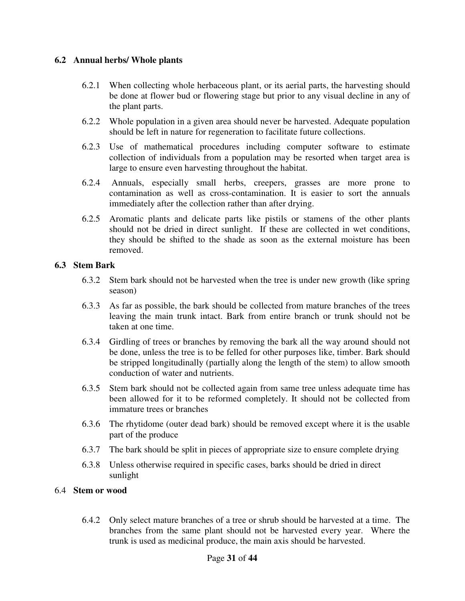#### **6.2 Annual herbs/ Whole plants**

- 6.2.1 When collecting whole herbaceous plant, or its aerial parts, the harvesting should be done at flower bud or flowering stage but prior to any visual decline in any of the plant parts.
- 6.2.2 Whole population in a given area should never be harvested. Adequate population should be left in nature for regeneration to facilitate future collections.
- 6.2.3 Use of mathematical procedures including computer software to estimate collection of individuals from a population may be resorted when target area is large to ensure even harvesting throughout the habitat.
- 6.2.4 Annuals, especially small herbs, creepers, grasses are more prone to contamination as well as cross-contamination. It is easier to sort the annuals immediately after the collection rather than after drying.
- 6.2.5 Aromatic plants and delicate parts like pistils or stamens of the other plants should not be dried in direct sunlight. If these are collected in wet conditions, they should be shifted to the shade as soon as the external moisture has been removed.

#### **6.3 Stem Bark**

- 6.3.2 Stem bark should not be harvested when the tree is under new growth (like spring season)
- 6.3.3 As far as possible, the bark should be collected from mature branches of the trees leaving the main trunk intact. Bark from entire branch or trunk should not be taken at one time.
- 6.3.4 Girdling of trees or branches by removing the bark all the way around should not be done, unless the tree is to be felled for other purposes like, timber. Bark should be stripped longitudinally (partially along the length of the stem) to allow smooth conduction of water and nutrients.
- 6.3.5 Stem bark should not be collected again from same tree unless adequate time has been allowed for it to be reformed completely. It should not be collected from immature trees or branches
- 6.3.6 The rhytidome (outer dead bark) should be removed except where it is the usable part of the produce
- 6.3.7 The bark should be split in pieces of appropriate size to ensure complete drying
- 6.3.8 Unless otherwise required in specific cases, barks should be dried in direct sunlight

#### 6.4 **Stem or wood**

6.4.2 Only select mature branches of a tree or shrub should be harvested at a time. The branches from the same plant should not be harvested every year. Where the trunk is used as medicinal produce, the main axis should be harvested.

#### Page **31** of **44**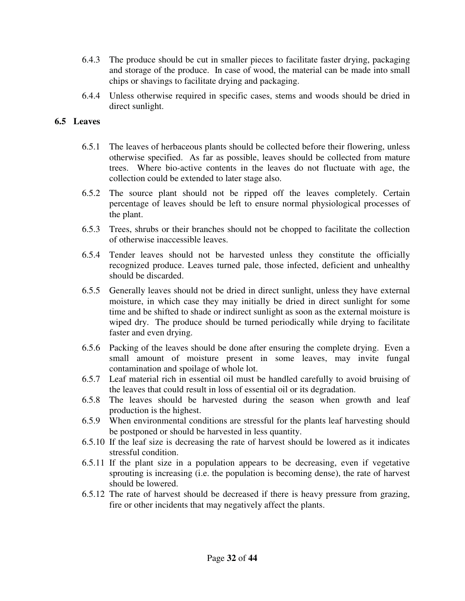- 6.4.3 The produce should be cut in smaller pieces to facilitate faster drying, packaging and storage of the produce. In case of wood, the material can be made into small chips or shavings to facilitate drying and packaging.
- 6.4.4 Unless otherwise required in specific cases, stems and woods should be dried in direct sunlight.

# **6.5 Leaves**

- 6.5.1 The leaves of herbaceous plants should be collected before their flowering, unless otherwise specified. As far as possible, leaves should be collected from mature trees. Where bio-active contents in the leaves do not fluctuate with age, the collection could be extended to later stage also.
- 6.5.2 The source plant should not be ripped off the leaves completely. Certain percentage of leaves should be left to ensure normal physiological processes of the plant.
- 6.5.3 Trees, shrubs or their branches should not be chopped to facilitate the collection of otherwise inaccessible leaves.
- 6.5.4 Tender leaves should not be harvested unless they constitute the officially recognized produce. Leaves turned pale, those infected, deficient and unhealthy should be discarded.
- 6.5.5 Generally leaves should not be dried in direct sunlight, unless they have external moisture, in which case they may initially be dried in direct sunlight for some time and be shifted to shade or indirect sunlight as soon as the external moisture is wiped dry. The produce should be turned periodically while drying to facilitate faster and even drying.
- 6.5.6 Packing of the leaves should be done after ensuring the complete drying. Even a small amount of moisture present in some leaves, may invite fungal contamination and spoilage of whole lot.
- 6.5.7 Leaf material rich in essential oil must be handled carefully to avoid bruising of the leaves that could result in loss of essential oil or its degradation.
- 6.5.8 The leaves should be harvested during the season when growth and leaf production is the highest.
- 6.5.9 When environmental conditions are stressful for the plants leaf harvesting should be postponed or should be harvested in less quantity.
- 6.5.10 If the leaf size is decreasing the rate of harvest should be lowered as it indicates stressful condition.
- 6.5.11 If the plant size in a population appears to be decreasing, even if vegetative sprouting is increasing (i.e. the population is becoming dense), the rate of harvest should be lowered.
- 6.5.12 The rate of harvest should be decreased if there is heavy pressure from grazing, fire or other incidents that may negatively affect the plants.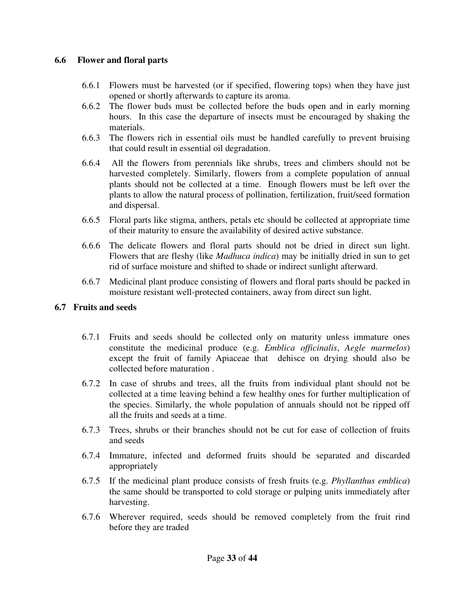## **6.6 Flower and floral parts**

- 6.6.1 Flowers must be harvested (or if specified, flowering tops) when they have just opened or shortly afterwards to capture its aroma.
- 6.6.2 The flower buds must be collected before the buds open and in early morning hours. In this case the departure of insects must be encouraged by shaking the materials.
- 6.6.3 The flowers rich in essential oils must be handled carefully to prevent bruising that could result in essential oil degradation.
- 6.6.4 All the flowers from perennials like shrubs, trees and climbers should not be harvested completely. Similarly, flowers from a complete population of annual plants should not be collected at a time. Enough flowers must be left over the plants to allow the natural process of pollination, fertilization, fruit/seed formation and dispersal.
- 6.6.5 Floral parts like stigma, anthers, petals etc should be collected at appropriate time of their maturity to ensure the availability of desired active substance.
- 6.6.6 The delicate flowers and floral parts should not be dried in direct sun light. Flowers that are fleshy (like *Madhuca indica*) may be initially dried in sun to get rid of surface moisture and shifted to shade or indirect sunlight afterward.
- 6.6.7 Medicinal plant produce consisting of flowers and floral parts should be packed in moisture resistant well-protected containers, away from direct sun light.

## **6.7 Fruits and seeds**

- 6.7.1 Fruits and seeds should be collected only on maturity unless immature ones constitute the medicinal produce (e.g. *Emblica officinalis*, *Aegle marmelos*) except the fruit of family Apiaceae that dehisce on drying should also be collected before maturation .
- 6.7.2 In case of shrubs and trees, all the fruits from individual plant should not be collected at a time leaving behind a few healthy ones for further multiplication of the species. Similarly, the whole population of annuals should not be ripped off all the fruits and seeds at a time.
- 6.7.3 Trees, shrubs or their branches should not be cut for ease of collection of fruits and seeds
- 6.7.4 Immature, infected and deformed fruits should be separated and discarded appropriately
- 6.7.5 If the medicinal plant produce consists of fresh fruits (e.g. *Phyllanthus emblica*) the same should be transported to cold storage or pulping units immediately after harvesting.
- 6.7.6 Wherever required, seeds should be removed completely from the fruit rind before they are traded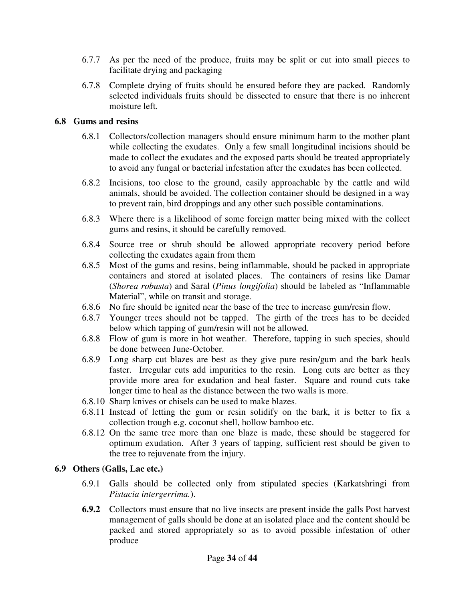- 6.7.7 As per the need of the produce, fruits may be split or cut into small pieces to facilitate drying and packaging
- 6.7.8 Complete drying of fruits should be ensured before they are packed. Randomly selected individuals fruits should be dissected to ensure that there is no inherent moisture left.

# **6.8 Gums and resins**

- 6.8.1 Collectors/collection managers should ensure minimum harm to the mother plant while collecting the exudates. Only a few small longitudinal incisions should be made to collect the exudates and the exposed parts should be treated appropriately to avoid any fungal or bacterial infestation after the exudates has been collected.
- 6.8.2 Incisions, too close to the ground, easily approachable by the cattle and wild animals, should be avoided. The collection container should be designed in a way to prevent rain, bird droppings and any other such possible contaminations.
- 6.8.3 Where there is a likelihood of some foreign matter being mixed with the collect gums and resins, it should be carefully removed.
- 6.8.4 Source tree or shrub should be allowed appropriate recovery period before collecting the exudates again from them
- 6.8.5 Most of the gums and resins, being inflammable, should be packed in appropriate containers and stored at isolated places. The containers of resins like Damar (*Shorea robusta*) and Saral (*Pinus longifolia*) should be labeled as "Inflammable Material", while on transit and storage.
- 6.8.6 No fire should be ignited near the base of the tree to increase gum/resin flow.
- 6.8.7 Younger trees should not be tapped. The girth of the trees has to be decided below which tapping of gum/resin will not be allowed.
- 6.8.8 Flow of gum is more in hot weather. Therefore, tapping in such species, should be done between June-October.
- 6.8.9 Long sharp cut blazes are best as they give pure resin/gum and the bark heals faster. Irregular cuts add impurities to the resin. Long cuts are better as they provide more area for exudation and heal faster. Square and round cuts take longer time to heal as the distance between the two walls is more.
- 6.8.10 Sharp knives or chisels can be used to make blazes.
- 6.8.11 Instead of letting the gum or resin solidify on the bark, it is better to fix a collection trough e.g. coconut shell, hollow bamboo etc.
- 6.8.12 On the same tree more than one blaze is made, these should be staggered for optimum exudation. After 3 years of tapping, sufficient rest should be given to the tree to rejuvenate from the injury.

# **6.9 Others (Galls, Lac etc.)**

- 6.9.1 Galls should be collected only from stipulated species (Karkatshringi from *Pistacia intergerrima.*).
- **6.9.2** Collectors must ensure that no live insects are present inside the galls Post harvest management of galls should be done at an isolated place and the content should be packed and stored appropriately so as to avoid possible infestation of other produce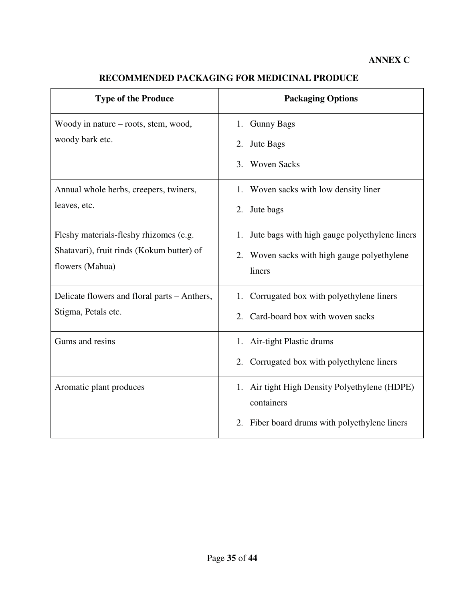# **RECOMMENDED PACKAGING FOR MEDICINAL PRODUCE**

| <b>Type of the Produce</b>                   | <b>Packaging Options</b>                            |
|----------------------------------------------|-----------------------------------------------------|
| Woody in nature – roots, stem, wood,         | 1. Gunny Bags                                       |
| woody bark etc.                              | Jute Bags<br>2.                                     |
|                                              | <b>Woven Sacks</b><br>3.                            |
| Annual whole herbs, creepers, twiners,       | 1. Woven sacks with low density liner               |
| leaves, etc.                                 | 2.<br>Jute bags                                     |
| Fleshy materials-fleshy rhizomes (e.g.       | Jute bags with high gauge polyethylene liners<br>1. |
| Shatavari), fruit rinds (Kokum butter) of    | Woven sacks with high gauge polyethylene<br>2.      |
| flowers (Mahua)                              | liners                                              |
| Delicate flowers and floral parts – Anthers, | Corrugated box with polyethylene liners<br>1.       |
| Stigma, Petals etc.                          | Card-board box with woven sacks<br>2.               |
| Gums and resins                              | 1. Air-tight Plastic drums                          |
|                                              | 2.<br>Corrugated box with polyethylene liners       |
| Aromatic plant produces                      | 1. Air tight High Density Polyethylene (HDPE)       |
|                                              | containers                                          |
|                                              | Fiber board drums with polyethylene liners<br>2.    |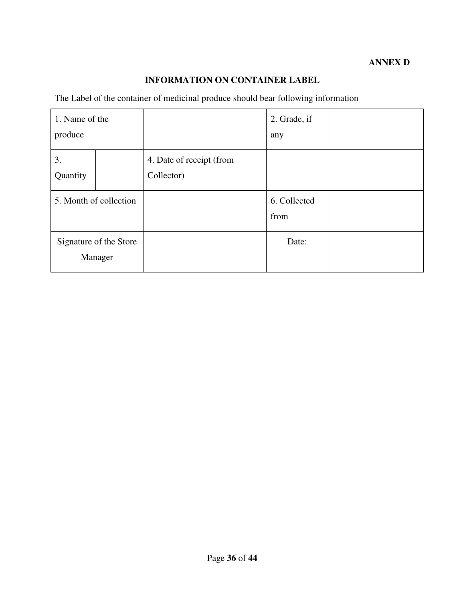# **INFORMATION ON CONTAINER LABEL**

The Label of the container of medicinal produce should bear following information

| 1. Name of the         |                        |                          | 2. Grade, if |  |
|------------------------|------------------------|--------------------------|--------------|--|
| produce                |                        |                          | any          |  |
| 3.                     |                        | 4. Date of receipt (from |              |  |
| Quantity               |                        | Collector)               |              |  |
| 5. Month of collection |                        |                          | 6. Collected |  |
|                        |                        |                          | from         |  |
|                        | Signature of the Store |                          | Date:        |  |
|                        | Manager                |                          |              |  |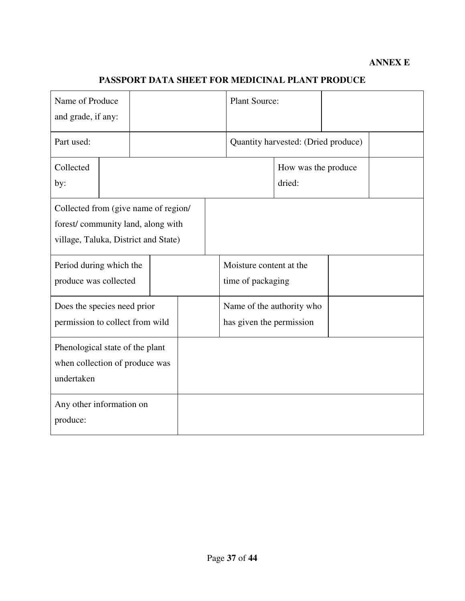# **ANNEX E**

# **PASSPORT DATA SHEET FOR MEDICINAL PLANT PRODUCE**

| Name of Produce<br>and grade, if any:                                                                             |  |  |                                                       | <b>Plant Source:</b>                         |                                     |  |                               |  |  |
|-------------------------------------------------------------------------------------------------------------------|--|--|-------------------------------------------------------|----------------------------------------------|-------------------------------------|--|-------------------------------|--|--|
| Part used:                                                                                                        |  |  |                                                       |                                              | Quantity harvested: (Dried produce) |  |                               |  |  |
| Collected<br>by:                                                                                                  |  |  |                                                       |                                              |                                     |  | How was the produce<br>dried: |  |  |
| Collected from (give name of region/<br>forest/community land, along with<br>village, Taluka, District and State) |  |  |                                                       |                                              |                                     |  |                               |  |  |
| Period during which the<br>produce was collected                                                                  |  |  |                                                       | Moisture content at the<br>time of packaging |                                     |  |                               |  |  |
| Does the species need prior<br>permission to collect from wild                                                    |  |  | Name of the authority who<br>has given the permission |                                              |                                     |  |                               |  |  |
| Phenological state of the plant<br>when collection of produce was<br>undertaken                                   |  |  |                                                       |                                              |                                     |  |                               |  |  |
| Any other information on<br>produce:                                                                              |  |  |                                                       |                                              |                                     |  |                               |  |  |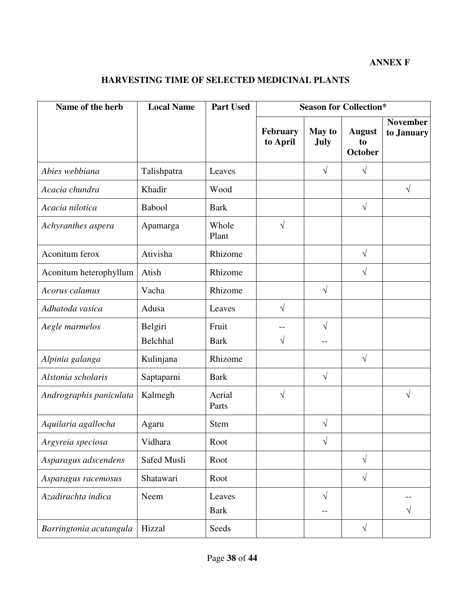# **ANNEX F**

# **HARVESTING TIME OF SELECTED MEDICINAL PLANTS**

| Name of the herb        | <b>Local Name</b>   | <b>Part Used</b>      | <b>Season for Collection*</b> |                              |                                       |                               |  |
|-------------------------|---------------------|-----------------------|-------------------------------|------------------------------|---------------------------------------|-------------------------------|--|
|                         |                     |                       | February<br>to April          | <b>May to</b><br><b>July</b> | <b>August</b><br>to<br><b>October</b> | <b>November</b><br>to January |  |
| Abies webbiana          | Talishpatra         | Leaves                |                               | $\sqrt{}$                    | $\sqrt{}$                             |                               |  |
| Acacia chundra          | Khadir              | Wood                  |                               |                              |                                       | $\sqrt{}$                     |  |
| Acacia nilotica         | Babool              | <b>Bark</b>           |                               |                              | $\sqrt{}$                             |                               |  |
| Achyranthes aspera      | Apamarga            | Whole<br>Plant        | $\sqrt{}$                     |                              |                                       |                               |  |
| Aconitum ferox          | Ativisha            | Rhizome               |                               |                              | $\sqrt{}$                             |                               |  |
| Aconitum heterophyllum  | Atish               | Rhizome               |                               |                              | $\sqrt{}$                             |                               |  |
| Acorus calamus          | Vacha               | Rhizome               |                               | $\sqrt{}$                    |                                       |                               |  |
| Adhatoda vasica         | Adusa               | Leaves                | $\sqrt{}$                     |                              |                                       |                               |  |
| Aegle marmelos          | Belgiri<br>Belchhal | Fruit<br><b>Bark</b>  | V                             | $\sqrt{}$                    |                                       |                               |  |
| Alpinia galanga         | Kulinjana           | Rhizome               |                               |                              | V                                     |                               |  |
| Alstonia scholaris      | Saptaparni          | <b>Bark</b>           |                               | $\sqrt{}$                    |                                       |                               |  |
| Andrographis paniculata | Kalmegh             | Aerial<br>Parts       | $\sqrt{}$                     |                              |                                       | V                             |  |
| Aquilaria agallocha     | Agaru               | Stem                  |                               | $\sqrt{}$                    |                                       |                               |  |
| Argyreia speciosa       | Vidhara             | Root                  |                               | $\sqrt{ }$                   |                                       |                               |  |
| Asparagus adscendens    | Safed Musli         | Root                  |                               |                              | $\sqrt{ }$                            |                               |  |
| Asparagus racemosus     | Shatawari           | Root                  |                               |                              | $\sqrt{ }$                            |                               |  |
| Azadirachta indica      | Neem                | Leaves<br><b>Bark</b> |                               | $\sqrt{}$                    |                                       | $\sqrt{}$                     |  |
| Barringtonia acutangula | Hizzal              | Seeds                 |                               |                              | $\sqrt{}$                             |                               |  |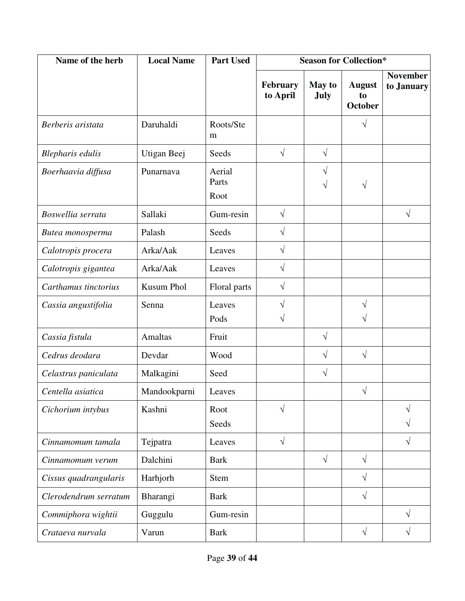| Name of the herb      | <b>Local Name</b> | <b>Part Used</b>        | <b>Season for Collection*</b> |                       |                                       |                               |
|-----------------------|-------------------|-------------------------|-------------------------------|-----------------------|---------------------------------------|-------------------------------|
|                       |                   |                         | February<br>to April          | <b>May to</b><br>July | <b>August</b><br>to<br><b>October</b> | <b>November</b><br>to January |
| Berberis aristata     | Daruhaldi         | Roots/Ste<br>m          |                               |                       | V                                     |                               |
| Blepharis edulis      | Utigan Beej       | Seeds                   | $\sqrt{}$                     | $\sqrt{ }$            |                                       |                               |
| Boerhaavia diffusa    | Punarnava         | Aerial<br>Parts<br>Root |                               | $\sqrt{}$<br>V        |                                       |                               |
| Boswellia serrata     | Sallaki           | Gum-resin               | $\sqrt{}$                     |                       |                                       | $\sqrt{}$                     |
| Butea monosperma      | Palash            | Seeds                   | $\sqrt{}$                     |                       |                                       |                               |
| Calotropis procera    | Arka/Aak          | Leaves                  | $\sqrt{}$                     |                       |                                       |                               |
| Calotropis gigantea   | Arka/Aak          | Leaves                  | $\sqrt{}$                     |                       |                                       |                               |
| Carthamus tinctorius  | <b>Kusum Phol</b> | Floral parts            | $\sqrt{}$                     |                       |                                       |                               |
| Cassia angustifolia   | Senna             | Leaves<br>Pods          | V                             |                       |                                       |                               |
| Cassia fistula        | Amaltas           | Fruit                   |                               | $\sqrt{ }$            |                                       |                               |
| Cedrus deodara        | Devdar            | Wood                    |                               | $\sqrt{ }$            | $\sqrt{}$                             |                               |
| Celastrus paniculata  | Malkagini         | Seed                    |                               | $\sqrt{ }$            |                                       |                               |
| Centella asiatica     | Mandookparni      | Leaves                  |                               |                       | $\sqrt{}$                             |                               |
| Cichorium intybus     | Kashni            | Root<br>Seeds           | $\sqrt{}$                     |                       |                                       | V<br>V                        |
| Cinnamomum tamala     | Tejpatra          | Leaves                  | $\sqrt{ }$                    |                       |                                       | $\sqrt{}$                     |
| Cinnamomum verum      | Dalchini          | <b>Bark</b>             |                               | $\sqrt{ }$            | $\sqrt{ }$                            |                               |
| Cissus quadrangularis | Harhjorh          | <b>Stem</b>             |                               |                       | $\sqrt{}$                             |                               |
| Clerodendrum serratum | Bharangi          | <b>Bark</b>             |                               |                       | $\sqrt{}$                             |                               |
| Commiphora wightii    | Guggulu           | Gum-resin               |                               |                       |                                       | $\sqrt{}$                     |
| Crataeva nurvala      | Varun             | <b>Bark</b>             |                               |                       | $\sqrt{}$                             | $\sqrt{}$                     |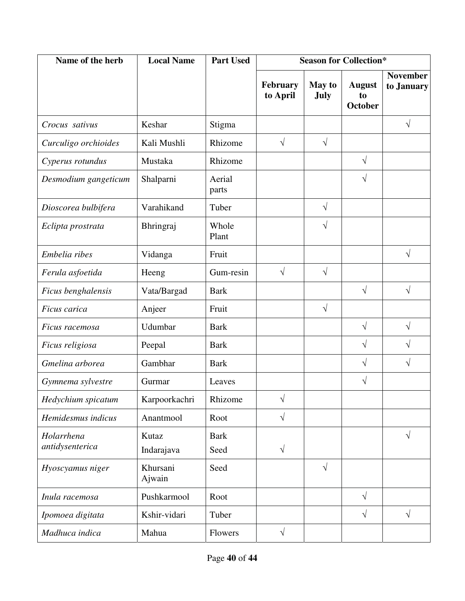| Name of the herb     | <b>Local Name</b>  | <b>Part Used</b> | <b>Season for Collection*</b> |                              |                                       |                               |
|----------------------|--------------------|------------------|-------------------------------|------------------------------|---------------------------------------|-------------------------------|
|                      |                    |                  | February<br>to April          | <b>May to</b><br><b>July</b> | <b>August</b><br>to<br><b>October</b> | <b>November</b><br>to January |
| Crocus sativus       | Keshar             | Stigma           |                               |                              |                                       | $\sqrt{}$                     |
| Curculigo orchioides | Kali Mushli        | Rhizome          | $\sqrt{}$                     | $\sqrt{ }$                   |                                       |                               |
| Cyperus rotundus     | Mustaka            | Rhizome          |                               |                              | $\sqrt{}$                             |                               |
| Desmodium gangeticum | Shalparni          | Aerial<br>parts  |                               |                              | $\sqrt{}$                             |                               |
| Dioscorea bulbifera  | Varahikand         | Tuber            |                               | $\sqrt{}$                    |                                       |                               |
| Eclipta prostrata    | Bhringraj          | Whole<br>Plant   |                               | $\sqrt{}$                    |                                       |                               |
| Embelia ribes        | Vidanga            | Fruit            |                               |                              |                                       | $\sqrt{}$                     |
| Ferula asfoetida     | Heeng              | Gum-resin        | $\sqrt{ }$                    | $\sqrt{ }$                   |                                       |                               |
| Ficus benghalensis   | Vata/Bargad        | <b>Bark</b>      |                               |                              | $\sqrt{}$                             | $\sqrt{}$                     |
| Ficus carica         | Anjeer             | Fruit            |                               | $\sqrt{ }$                   |                                       |                               |
| Ficus racemosa       | Udumbar            | <b>Bark</b>      |                               |                              | $\sqrt{}$                             | $\sqrt{}$                     |
| Ficus religiosa      | Peepal             | <b>Bark</b>      |                               |                              | $\sqrt{}$                             | $\sqrt{}$                     |
| Gmelina arborea      | Gambhar            | <b>Bark</b>      |                               |                              | $\sqrt{}$                             | $\sqrt{}$                     |
| Gymnema sylvestre    | Gurmar             | Leaves           |                               |                              | $\sqrt{}$                             |                               |
| Hedychium spicatum   | Karpoorkachri      | Rhizome          | V                             |                              |                                       |                               |
| Hemidesmus indicus   | Anantmool          | Root             | $\sqrt{ }$                    |                              |                                       |                               |
| Holarrhena           | Kutaz              | <b>Bark</b>      |                               |                              |                                       | $\sqrt{}$                     |
| antidysenterica      | Indarajava         | Seed             | $\sqrt{}$                     |                              |                                       |                               |
| Hyoscyamus niger     | Khursani<br>Ajwain | Seed             |                               | $\sqrt{ }$                   |                                       |                               |
| Inula racemosa       | Pushkarmool        | Root             |                               |                              | $\sqrt{ }$                            |                               |
| Ipomoea digitata     | Kshir-vidari       | Tuber            |                               |                              | $\sqrt{}$                             | $\sqrt{}$                     |
| Madhuca indica       | Mahua              | Flowers          | $\sqrt{}$                     |                              |                                       |                               |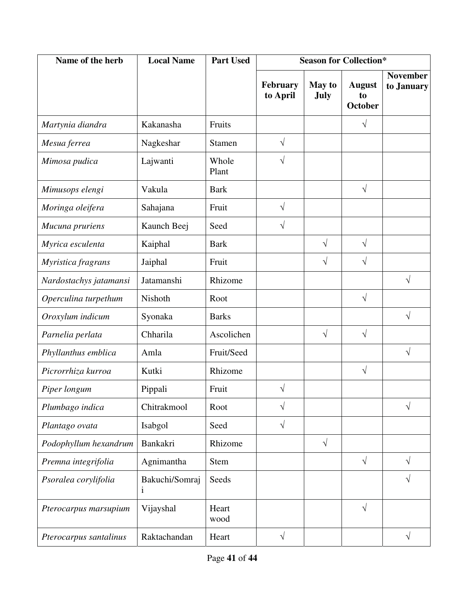| Name of the herb       | <b>Local Name</b>   | <b>Part Used</b> | <b>Season for Collection*</b> |                              |                                       |                               |
|------------------------|---------------------|------------------|-------------------------------|------------------------------|---------------------------------------|-------------------------------|
|                        |                     |                  | February<br>to April          | <b>May to</b><br><b>July</b> | <b>August</b><br>to<br><b>October</b> | <b>November</b><br>to January |
| Martynia diandra       | Kakanasha           | Fruits           |                               |                              | $\sqrt{}$                             |                               |
| Mesua ferrea           | Nagkeshar           | Stamen           | $\sqrt{}$                     |                              |                                       |                               |
| Mimosa pudica          | Lajwanti            | Whole<br>Plant   | $\sqrt{}$                     |                              |                                       |                               |
| Mimusops elengi        | Vakula              | <b>Bark</b>      |                               |                              | $\sqrt{}$                             |                               |
| Moringa oleifera       | Sahajana            | Fruit            | $\sqrt{}$                     |                              |                                       |                               |
| Mucuna pruriens        | Kaunch Beej         | Seed             | $\sqrt{}$                     |                              |                                       |                               |
| Myrica esculenta       | Kaiphal             | <b>Bark</b>      |                               | $\sqrt{}$                    | $\sqrt{}$                             |                               |
| Myristica fragrans     | Jaiphal             | Fruit            |                               | $\sqrt{}$                    | $\sqrt{}$                             |                               |
| Nardostachys jatamansi | Jatamanshi          | Rhizome          |                               |                              |                                       | $\sqrt{}$                     |
| Operculina turpethum   | Nishoth             | Root             |                               |                              | $\sqrt{ }$                            |                               |
| Oroxylum indicum       | Syonaka             | <b>Barks</b>     |                               |                              |                                       | $\sqrt{}$                     |
| Parnelia perlata       | Chharila            | Ascolichen       |                               | $\sqrt{}$                    | $\sqrt{ }$                            |                               |
| Phyllanthus emblica    | Amla                | Fruit/Seed       |                               |                              |                                       | $\sqrt{}$                     |
| Picrorrhiza kurroa     | Kutki               | Rhizome          |                               |                              | $\sqrt{ }$                            |                               |
| Piper longum           | Pippali             | Fruit            | V                             |                              |                                       |                               |
| Plumbago indica        | Chitrakmool         | Root             | $\sqrt{}$                     |                              |                                       | V                             |
| Plantago ovata         | Isabgol             | Seed             | $\sqrt{}$                     |                              |                                       |                               |
| Podophyllum hexandrum  | Bankakri            | Rhizome          |                               | $\sqrt{ }$                   |                                       |                               |
| Premna integrifolia    | Agnimantha          | <b>Stem</b>      |                               |                              | $\sqrt{ }$                            | $\sqrt{}$                     |
| Psoralea corylifolia   | Bakuchi/Somraj<br>1 | Seeds            |                               |                              |                                       | $\sqrt{}$                     |
| Pterocarpus marsupium  | Vijayshal           | Heart<br>wood    |                               |                              | $\sqrt{}$                             |                               |
| Pterocarpus santalinus | Raktachandan        | Heart            | $\sqrt{}$                     |                              |                                       | $\sqrt{}$                     |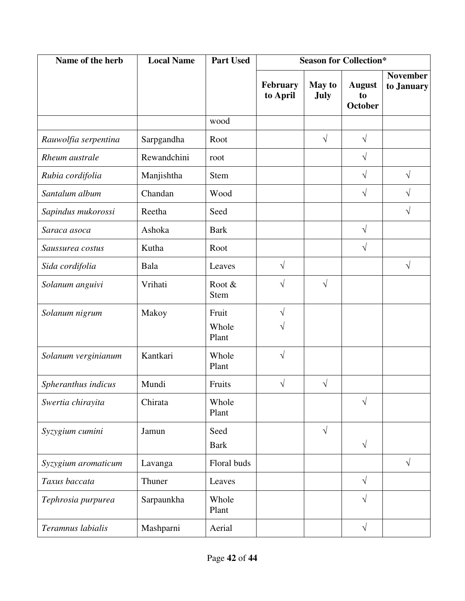| Name of the herb     | <b>Local Name</b> | <b>Part Used</b>        | <b>Season for Collection*</b> |                       |                                       |                               |
|----------------------|-------------------|-------------------------|-------------------------------|-----------------------|---------------------------------------|-------------------------------|
|                      |                   |                         | <b>February</b><br>to April   | <b>May to</b><br>July | <b>August</b><br>to<br><b>October</b> | <b>November</b><br>to January |
|                      |                   | wood                    |                               |                       |                                       |                               |
| Rauwolfia serpentina | Sarpgandha        | Root                    |                               | $\sqrt{ }$            | $\sqrt{}$                             |                               |
| Rheum australe       | Rewandchini       | root                    |                               |                       | V                                     |                               |
| Rubia cordifolia     | Manjishtha        | <b>Stem</b>             |                               |                       | V                                     | $\sqrt{}$                     |
| Santalum album       | Chandan           | Wood                    |                               |                       | $\sqrt{}$                             | V                             |
| Sapindus mukorossi   | Reetha            | Seed                    |                               |                       |                                       | V                             |
| Saraca asoca         | Ashoka            | <b>Bark</b>             |                               |                       | $\sqrt{}$                             |                               |
| Saussurea costus     | Kutha             | Root                    |                               |                       | $\sqrt{}$                             |                               |
| Sida cordifolia      | Bala              | Leaves                  | $\sqrt{}$                     |                       |                                       | V                             |
| Solanum anguivi      | Vrihati           | Root &<br>Stem          | $\sqrt{}$                     | $\sqrt{}$             |                                       |                               |
| Solanum nigrum       | Makoy             | Fruit<br>Whole<br>Plant | $\sqrt{}$                     |                       |                                       |                               |
| Solanum verginianum  | Kantkari          | Whole<br>Plant          | $\sqrt{}$                     |                       |                                       |                               |
| Spheranthus indicus  | Mundi             | Fruits                  | $\sqrt{}$                     | $\sqrt{}$             |                                       |                               |
| Swertia chirayita    | Chirata           | Whole<br>Plant          |                               |                       | V                                     |                               |
| Syzygium cumini      | Jamun             | Seed<br><b>Bark</b>     |                               | $\sqrt{}$             | $\sqrt{}$                             |                               |
| Syzygium aromaticum  | Lavanga           | Floral buds             |                               |                       |                                       | $\sqrt{}$                     |
| Taxus baccata        | Thuner            | Leaves                  |                               |                       | $\sqrt{ }$                            |                               |
| Tephrosia purpurea   | Sarpaunkha        | Whole<br>Plant          |                               |                       | $\sqrt{}$                             |                               |
| Teramnus labialis    | Mashparni         | Aerial                  |                               |                       | $\sqrt{}$                             |                               |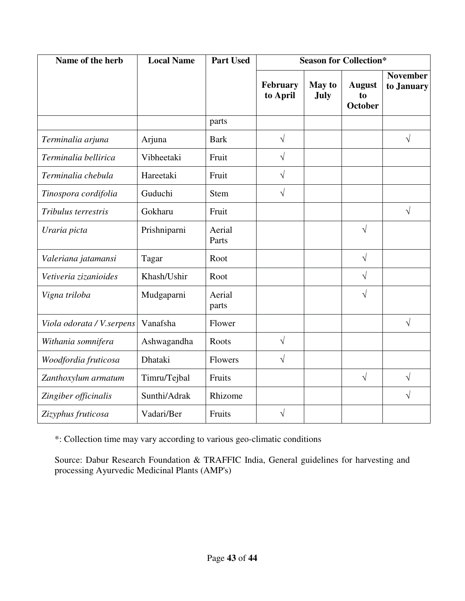| Name of the herb           | <b>Local Name</b> | <b>Part Used</b> | <b>Season for Collection*</b> |                       |                                       |                               |  |
|----------------------------|-------------------|------------------|-------------------------------|-----------------------|---------------------------------------|-------------------------------|--|
|                            |                   |                  | February<br>to April          | <b>May to</b><br>July | <b>August</b><br>to<br><b>October</b> | <b>November</b><br>to January |  |
|                            |                   | parts            |                               |                       |                                       |                               |  |
| Terminalia arjuna          | Arjuna            | <b>Bark</b>      | $\sqrt{}$                     |                       |                                       | $\sqrt{}$                     |  |
| Terminalia bellirica       | Vibheetaki        | Fruit            | $\sqrt{ }$                    |                       |                                       |                               |  |
| Terminalia chebula         | Hareetaki         | Fruit            | $\sqrt{}$                     |                       |                                       |                               |  |
| Tinospora cordifolia       | Guduchi           | <b>Stem</b>      | $\sqrt{ }$                    |                       |                                       |                               |  |
| Tribulus terrestris        | Gokharu           | Fruit            |                               |                       |                                       | $\sqrt{}$                     |  |
| Uraria picta               | Prishniparni      | Aerial<br>Parts  |                               |                       | $\sqrt{}$                             |                               |  |
| Valeriana jatamansi        | Tagar             | Root             |                               |                       | $\sqrt{}$                             |                               |  |
| Vetiveria zizanioides      | Khash/Ushir       | Root             |                               |                       | $\sqrt{}$                             |                               |  |
| Vigna triloba              | Mudgaparni        | Aerial<br>parts  |                               |                       | $\sqrt{}$                             |                               |  |
| Viola odorata / V. serpens | Vanafsha          | Flower           |                               |                       |                                       | $\sqrt{}$                     |  |
| Withania somnifera         | Ashwagandha       | Roots            | $\sqrt{ }$                    |                       |                                       |                               |  |
| Woodfordia fruticosa       | Dhataki           | Flowers          | $\sqrt{ }$                    |                       |                                       |                               |  |
| Zanthoxylum armatum        | Timru/Tejbal      | Fruits           |                               |                       | $\sqrt{}$                             | $\sqrt{}$                     |  |
| Zingiber officinalis       | Sunthi/Adrak      | Rhizome          |                               |                       |                                       | $\sqrt{}$                     |  |
| Zizyphus fruticosa         | Vadari/Ber        | Fruits           | $\sqrt{}$                     |                       |                                       |                               |  |

\*: Collection time may vary according to various geo-climatic conditions

Source: Dabur Research Foundation & TRAFFIC India, General guidelines for harvesting and processing Ayurvedic Medicinal Plants (AMP's)